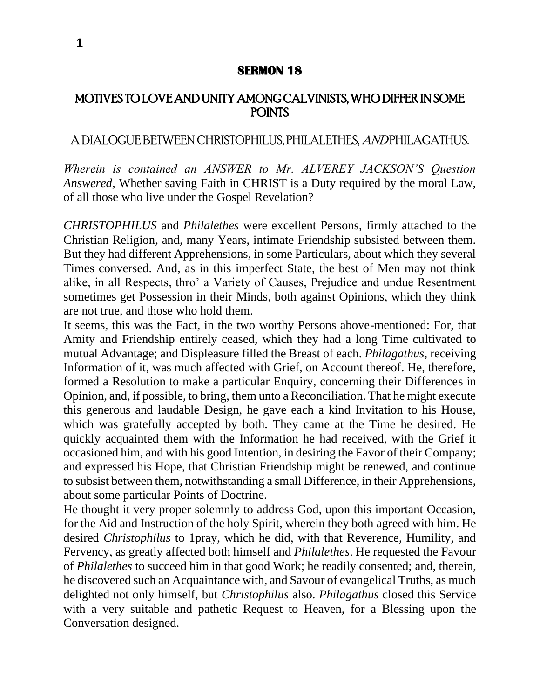## **SERMON 18**

## MOTIVES TO LOVE AND UNITY AMONG CALVINISTS, WHO DIFFER IN SOME POINTS

## A DIALOGUE BETWEEN CHRISTOPHILUS, PHILALETHES, AND PHILAGATHUS.

*Wherein is contained an ANSWER to Mr. ALVEREY JACKSON'S Question Answered,* Whether saving Faith in CHRIST is a Duty required by the moral Law, of all those who live under the Gospel Revelation?

*CHRISTOPHILUS* and *Philalethes* were excellent Persons, firmly attached to the Christian Religion, and, many Years, intimate Friendship subsisted between them. But they had different Apprehensions, in some Particulars, about which they several Times conversed. And, as in this imperfect State, the best of Men may not think alike, in all Respects, thro' a Variety of Causes, Prejudice and undue Resentment sometimes get Possession in their Minds, both against Opinions, which they think are not true, and those who hold them.

It seems, this was the Fact, in the two worthy Persons above-mentioned: For, that Amity and Friendship entirely ceased, which they had a long Time cultivated to mutual Advantage; and Displeasure filled the Breast of each. *Philagathus,* receiving Information of it, was much affected with Grief, on Account thereof. He, therefore, formed a Resolution to make a particular Enquiry, concerning their Differences in Opinion, and, if possible, to bring, them unto a Reconciliation. That he might execute this generous and laudable Design, he gave each a kind Invitation to his House, which was gratefully accepted by both. They came at the Time he desired. He quickly acquainted them with the Information he had received, with the Grief it occasioned him, and with his good Intention, in desiring the Favor of their Company; and expressed his Hope, that Christian Friendship might be renewed, and continue to subsist between them, notwithstanding a small Difference, in their Apprehensions, about some particular Points of Doctrine.

He thought it very proper solemnly to address God, upon this important Occasion, for the Aid and Instruction of the holy Spirit, wherein they both agreed with him. He desired *Christophilus* to 1pray, which he did, with that Reverence, Humility, and Fervency, as greatly affected both himself and *Philalethes*. He requested the Favour of *Philalethes* to succeed him in that good Work; he readily consented; and, therein, he discovered such an Acquaintance with, and Savour of evangelical Truths, as much delighted not only himself, but *Christophilus* also. *Philagathus* closed this Service with a very suitable and pathetic Request to Heaven, for a Blessing upon the Conversation designed.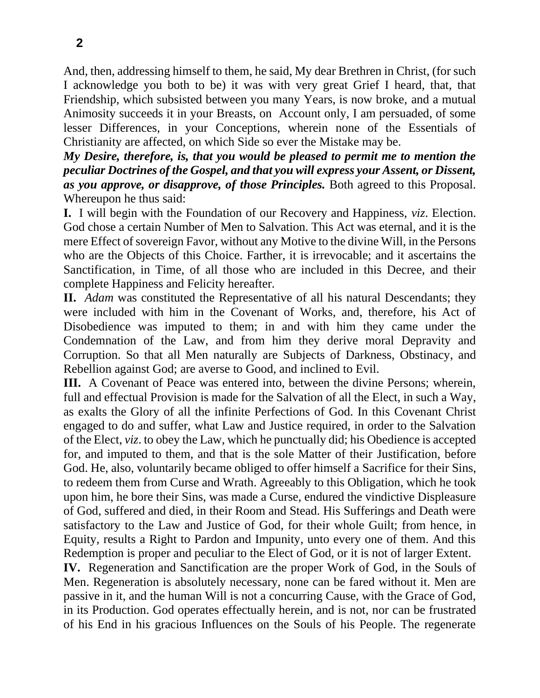And, then, addressing himself to them, he said, My dear Brethren in Christ, (for such I acknowledge you both to be) it was with very great Grief I heard, that, that Friendship, which subsisted between you many Years, is now broke, and a mutual Animosity succeeds it in your Breasts, on Account only, I am persuaded, of some lesser Differences, in your Conceptions, wherein none of the Essentials of Christianity are affected, on which Side so ever the Mistake may be.

*My Desire, therefore, is, that you would be pleased to permit me to mention the peculiar Doctrines of the Gospel, and that you will express your Assent, or Dissent, as you approve, or disapprove, of those Principles.* Both agreed to this Proposal. Whereupon he thus said:

**I.** I will begin with the Foundation of our Recovery and Happiness, *viz*. Election. God chose a certain Number of Men to Salvation. This Act was eternal, and it is the mere Effect of sovereign Favor, without any Motive to the divine Will, in the Persons who are the Objects of this Choice. Farther, it is irrevocable; and it ascertains the Sanctification, in Time, of all those who are included in this Decree, and their complete Happiness and Felicity hereafter.

**II.** *Adam* was constituted the Representative of all his natural Descendants; they were included with him in the Covenant of Works, and, therefore, his Act of Disobedience was imputed to them; in and with him they came under the Condemnation of the Law, and from him they derive moral Depravity and Corruption. So that all Men naturally are Subjects of Darkness, Obstinacy, and Rebellion against God; are averse to Good, and inclined to Evil.

**III.** A Covenant of Peace was entered into, between the divine Persons; wherein, full and effectual Provision is made for the Salvation of all the Elect, in such a Way, as exalts the Glory of all the infinite Perfections of God. In this Covenant Christ engaged to do and suffer, what Law and Justice required, in order to the Salvation of the Elect, *viz*. to obey the Law, which he punctually did; his Obedience is accepted for, and imputed to them, and that is the sole Matter of their Justification, before God. He, also, voluntarily became obliged to offer himself a Sacrifice for their Sins, to redeem them from Curse and Wrath. Agreeably to this Obligation, which he took upon him, he bore their Sins, was made a Curse, endured the vindictive Displeasure of God, suffered and died, in their Room and Stead. His Sufferings and Death were satisfactory to the Law and Justice of God, for their whole Guilt; from hence, in Equity, results a Right to Pardon and Impunity, unto every one of them. And this Redemption is proper and peculiar to the Elect of God, or it is not of larger Extent.

**IV.** Regeneration and Sanctification are the proper Work of God, in the Souls of Men. Regeneration is absolutely necessary, none can be fared without it. Men are passive in it, and the human Will is not a concurring Cause, with the Grace of God, in its Production. God operates effectually herein, and is not, nor can be frustrated of his End in his gracious Influences on the Souls of his People. The regenerate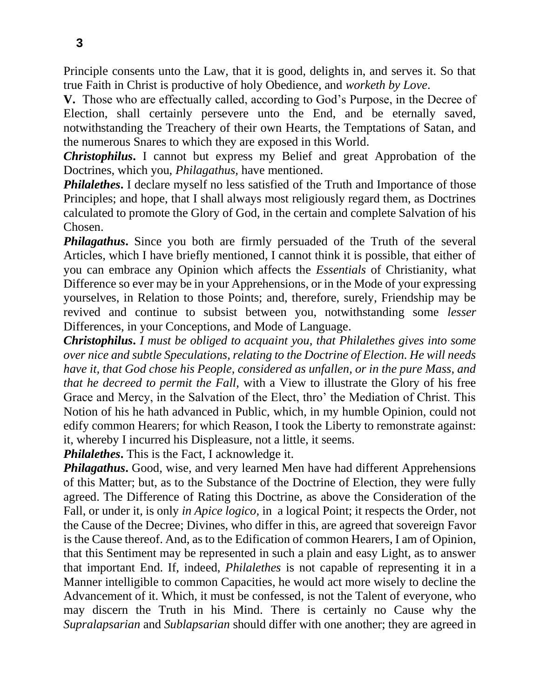Principle consents unto the Law, that it is good, delights in, and serves it. So that true Faith in Christ is productive of holy Obedience, and *worketh by Love*.

**V.** Those who are effectually called, according to God's Purpose, in the Decree of Election, shall certainly persevere unto the End, and be eternally saved, notwithstanding the Treachery of their own Hearts, the Temptations of Satan, and the numerous Snares to which they are exposed in this World.

*Christophilus***.** I cannot but express my Belief and great Approbation of the Doctrines, which you, *Philagathus,* have mentioned.

*Philalethes*. I declare myself no less satisfied of the Truth and Importance of those Principles; and hope, that I shall always most religiously regard them, as Doctrines calculated to promote the Glory of God, in the certain and complete Salvation of his Chosen.

**Philagathus.** Since you both are firmly persuaded of the Truth of the several Articles, which I have briefly mentioned, I cannot think it is possible, that either of you can embrace any Opinion which affects the *Essentials* of Christianity, what Difference so ever may be in your Apprehensions, or in the Mode of your expressing yourselves, in Relation to those Points; and, therefore, surely, Friendship may be revived and continue to subsist between you, notwithstanding some *lesser*  Differences, in your Conceptions, and Mode of Language.

*Christophilus***.** *I must be obliged to acquaint you, that Philalethes gives into some over nice and subtle Speculations, relating to the Doctrine of Election. He will needs have it, that God chose his People, considered as unfallen, or in the pure Mass, and that he decreed to permit the Fall,* with a View to illustrate the Glory of his free Grace and Mercy, in the Salvation of the Elect, thro' the Mediation of Christ. This Notion of his he hath advanced in Public, which, in my humble Opinion, could not edify common Hearers; for which Reason, I took the Liberty to remonstrate against: it, whereby I incurred his Displeasure, not a little, it seems.

*Philalethes***.** This is the Fact, I acknowledge it.

*Philagathus*. Good, wise, and very learned Men have had different Apprehensions of this Matter; but, as to the Substance of the Doctrine of Election, they were fully agreed. The Difference of Rating this Doctrine, as above the Consideration of the Fall, or under it, is only *in Apice logico,* in a logical Point; it respects the Order, not the Cause of the Decree; Divines, who differ in this, are agreed that sovereign Favor is the Cause thereof. And, as to the Edification of common Hearers, I am of Opinion, that this Sentiment may be represented in such a plain and easy Light, as to answer that important End. If, indeed, *Philalethes* is not capable of representing it in a Manner intelligible to common Capacities, he would act more wisely to decline the Advancement of it. Which, it must be confessed, is not the Talent of everyone, who may discern the Truth in his Mind. There is certainly no Cause why the *Supralapsarian* and *Sublapsarian* should differ with one another; they are agreed in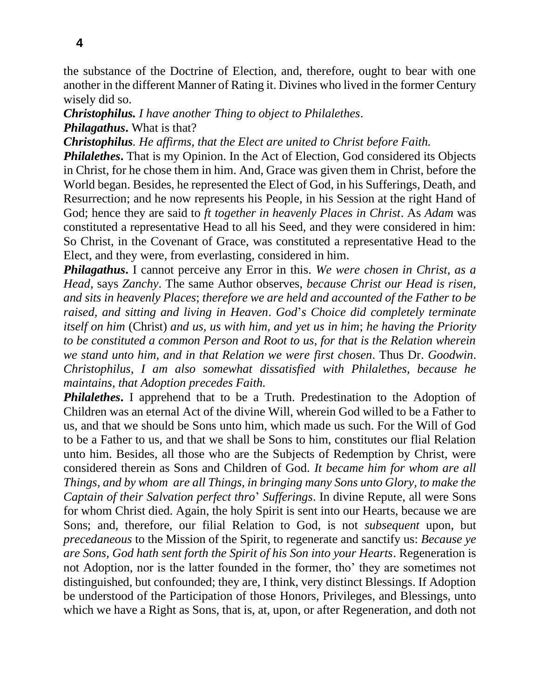the substance of the Doctrine of Election, and, therefore, ought to bear with one another in the different Manner of Rating it. Divines who lived in the former Century wisely did so.

*Christophilus. I have another Thing to object to Philalethes*. *Philagathus***.** What is that?

*Christophilus. He affirms, that the Elect are united to Christ before Faith.*

*Philalethes***.** That is my Opinion. In the Act of Election, God considered its Objects in Christ, for he chose them in him. And, Grace was given them in Christ, before the World began. Besides, he represented the Elect of God, in his Sufferings, Death, and Resurrection; and he now represents his People, in his Session at the right Hand of God; hence they are said to *ft together in heavenly Places in Christ*. As *Adam* was constituted a representative Head to all his Seed, and they were considered in him: So Christ, in the Covenant of Grace, was constituted a representative Head to the Elect, and they were, from everlasting, considered in him.

*Philagathus***.** I cannot perceive any Error in this. *We were chosen in Christ, as a Head,* says *Zanchy*. The same Author observes, *because Christ our Head is risen, and sits in heavenly Places*; *therefore we are held and accounted of the Father to be raised, and sitting and living in Heaven*. *God*'*s Choice did completely terminate itself on him* (Christ) *and us, us with him, and yet us in him*; *he having the Priority to be constituted a common Person and Root to us, for that is the Relation wherein we stand unto him, and in that Relation we were first chosen*. Thus Dr. *Goodwin*. *Christophilus, I am also somewhat dissatisfied with Philalethes, because he maintains, that Adoption precedes Faith.*

**Philalethes.** I apprehend that to be a Truth. Predestination to the Adoption of Children was an eternal Act of the divine Will, wherein God willed to be a Father to us, and that we should be Sons unto him, which made us such. For the Will of God to be a Father to us, and that we shall be Sons to him, constitutes our flial Relation unto him. Besides, all those who are the Subjects of Redemption by Christ, were considered therein as Sons and Children of God. *It became him for whom are all Things, and by whom are all Things, in bringing many Sons unto Glory, to make the Captain of their Salvation perfect thro*' *Sufferings*. In divine Repute, all were Sons for whom Christ died. Again, the holy Spirit is sent into our Hearts, because we are Sons; and, therefore, our filial Relation to God, is not *subsequent* upon, but *precedaneous* to the Mission of the Spirit, to regenerate and sanctify us: *Because ye are Sons, God hath sent forth the Spirit of his Son into your Hearts*. Regeneration is not Adoption, nor is the latter founded in the former, tho' they are sometimes not distinguished, but confounded; they are, I think, very distinct Blessings. If Adoption be understood of the Participation of those Honors, Privileges, and Blessings, unto which we have a Right as Sons, that is, at, upon, or after Regeneration, and doth not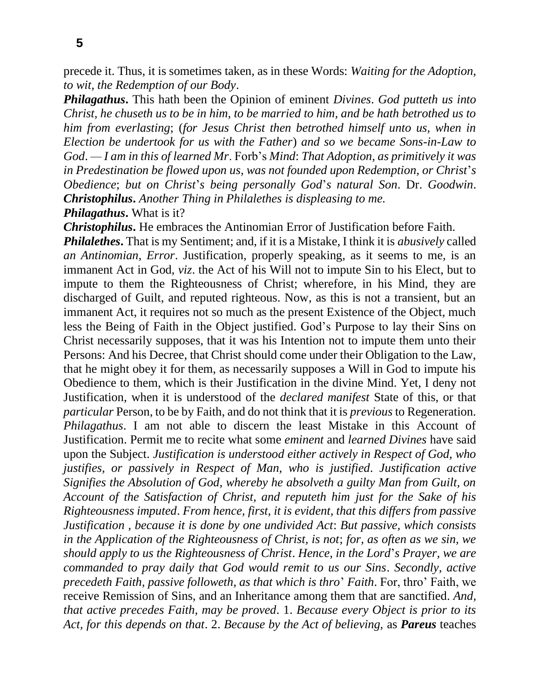**5**

precede it. Thus, it is sometimes taken, as in these Words: *Waiting for the Adoption, to wit, the Redemption of our Body*.

*Philagathus***.** This hath been the Opinion of eminent *Divines*. *God putteth us into Christ, he chuseth us to be in him, to be married to him, and be hath betrothed us to him from everlasting*; (*for Jesus Christ then betrothed himself unto us, when in Election be undertook for us with the Father*) *and so we became Sons-in-Law to God*. *— I am in this of learned Mr*. Forb's *Mind*: *That Adoption, as primitively it was in Predestination be flowed upon us, was not founded upon Redemption, or Christ*'*s Obedience*; *but on Christ*'*s being personally God*'*s natural Son*. Dr. *Goodwin*. *Christophilus***.** *Another Thing in Philalethes is displeasing to me. Philagathus***.** What is it?

*Christophilus***.** He embraces the Antinomian Error of Justification before Faith. *Philalethes***.** That is my Sentiment; and, if it is a Mistake, I think it is *abusively* called *an Antinomian, Error*. Justification, properly speaking, as it seems to me, is an immanent Act in God, *viz*. the Act of his Will not to impute Sin to his Elect, but to impute to them the Righteousness of Christ; wherefore, in his Mind, they are discharged of Guilt, and reputed righteous. Now, as this is not a transient, but an immanent Act, it requires not so much as the present Existence of the Object, much less the Being of Faith in the Object justified. God's Purpose to lay their Sins on Christ necessarily supposes, that it was his Intention not to impute them unto their Persons: And his Decree, that Christ should come under their Obligation to the Law, that he might obey it for them, as necessarily supposes a Will in God to impute his Obedience to them, which is their Justification in the divine Mind. Yet, I deny not Justification, when it is understood of the *declared manifest* State of this, or that *particular* Person, to be by Faith, and do not think that it is *previous* to Regeneration. *Philagathus*. I am not able to discern the least Mistake in this Account of Justification. Permit me to recite what some *eminent* and *learned Divines* have said upon the Subject. *Justification is understood either actively in Respect of God, who justifies, or passively in Respect of Man, who is justified*. *Justification active Signifies the Absolution of God, whereby he absolveth a guilty Man from Guilt, on Account of the Satisfaction of Christ, and reputeth him just for the Sake of his Righteousness imputed*. *From hence, first, it is evident, that this differs from passive Justification , because it is done by one undivided Act*: *But passive, which consists in the Application of the Righteousness of Christ, is not*; *for, as often as we sin, we should apply to us the Righteousness of Christ*. *Hence, in the Lord*'*s Prayer, we are commanded to pray daily that God would remit to us our Sins*. *Secondly, active precedeth Faith, passive followeth, as that which is thro*' *Faith*. For, thro' Faith, we receive Remission of Sins, and an Inheritance among them that are sanctified. *And, that active precedes Faith, may be proved*. 1. *Because every Object is prior to its Act, for this depends on that*. 2. *Because by the Act of believing,* as *Pareus* teaches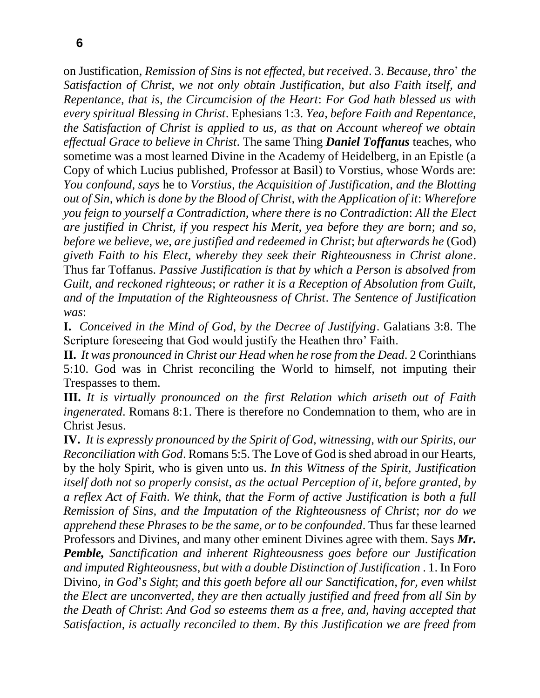on Justification, *Remission of Sins is not effected, but received*. 3. *Because, thro*' *the Satisfaction of Christ, we not only obtain Justification, but also Faith itself, and Repentance, that is, the Circumcision of the Heart*: *For God hath blessed us with every spiritual Blessing in Christ*. Ephesians 1:3. *Yea, before Faith and Repentance, the Satisfaction of Christ is applied to us, as that on Account whereof we obtain effectual Grace to believe in Christ*. The same Thing *Daniel Toffanus* teaches, who sometime was a most learned Divine in the Academy of Heidelberg, in an Epistle (a Copy of which Lucius published, Professor at Basil) to Vorstius, whose Words are: *You confound, says* he to *Vorstius, the Acquisition of Justification, and the Blotting out of Sin, which is done by the Blood of Christ, with the Application of it*: *Wherefore you feign to yourself a Contradiction, where there is no Contradiction*: *All the Elect are justified in Christ, if you respect his Merit, yea before they are born*; *and so, before we believe, we, are justified and redeemed in Christ*; *but afterwards he* (God) *giveth Faith to his Elect, whereby they seek their Righteousness in Christ alone*. Thus far Toffanus. *Passive Justification is that by which a Person is absolved from Guilt, and reckoned righteous*; *or rather it is a Reception of Absolution from Guilt, and of the Imputation of the Righteousness of Christ*. *The Sentence of Justification was*:

**I.** *Conceived in the Mind of God, by the Decree of Justifying*. Galatians 3:8. The Scripture foreseeing that God would justify the Heathen thro' Faith.

**II.** *It was pronounced in Christ our Head when he rose from the Dead*. 2 Corinthians 5:10. God was in Christ reconciling the World to himself, not imputing their Trespasses to them.

**III.** *It is virtually pronounced on the first Relation which ariseth out of Faith ingenerated*. Romans 8:1. There is therefore no Condemnation to them, who are in Christ Jesus.

**IV.** *It is expressly pronounced by the Spirit of God, witnessing, with our Spirits, our Reconciliation with God*. Romans 5:5. The Love of God is shed abroad in our Hearts, by the holy Spirit, who is given unto us. *In this Witness of the Spirit, Justification itself doth not so properly consist, as the actual Perception of it, before granted, by a reflex Act of Faith*. *We think, that the Form of active Justification is both a full Remission of Sins, and the Imputation of the Righteousness of Christ*; *nor do we apprehend these Phrases to be the same, or to be confounded*. Thus far these learned Professors and Divines, and many other eminent Divines agree with them. Says *Mr. Pemble, Sanctification and inherent Righteousness goes before our Justification and imputed Righteousness, but with a double Distinction of Justification* . 1. In Foro Divino, *in God*'*s Sight*; *and this goeth before all our Sanctification, for, even whilst the Elect are unconverted, they are then actually justified and freed from all Sin by the Death of Christ*: *And God so esteems them as a free, and, having accepted that Satisfaction, is actually reconciled to them*. *By this Justification we are freed from*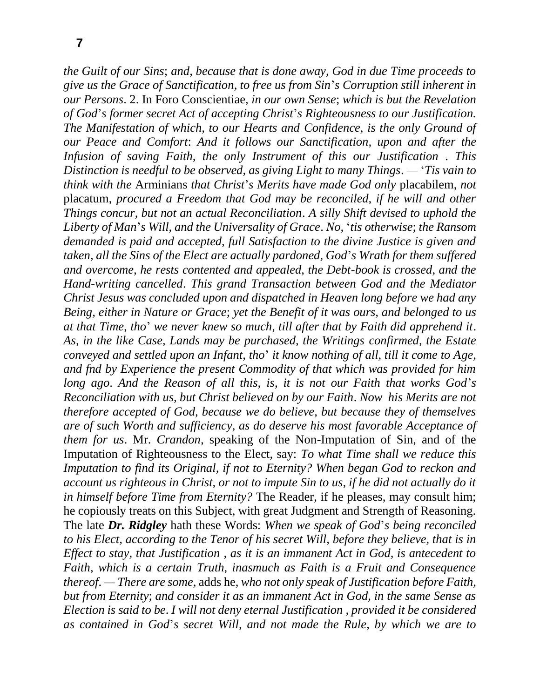*the Guilt of our Sins*; *and, because that is done away, God in due Time proceeds to give us the Grace of Sanctification, to free us from Sin*'*s Corruption still inherent in our Persons*. 2. In Foro Conscientiae, *in our own Sense*; *which is but the Revelation of God*'*s former secret Act of accepting Christ*'*s Righteousness to our Justification. The Manifestation of which, to our Hearts and Confidence, is the only Ground of our Peace and Comfort*: *And it follows our Sanctification, upon and after the Infusion of saving Faith, the only Instrument of this our Justification* . *This Distinction is needful to be observed, as giving Light to many Things*. *—* '*Tis vain to think with the* Arminians *that Christ*'*s Merits have made God only* placabilem, *not*  placatum, *procured a Freedom that God may be reconciled, if he will and other Things concur, but not an actual Reconciliation*. *A silly Shift devised to uphold the Liberty of Man*'*s Will, and the Universality of Grace*. *No,* '*tis otherwise*; *the Ransom demanded is paid and accepted, full Satisfaction to the divine Justice is given and taken, all the Sins of the Elect are actually pardoned, God*'*s Wrath for them suffered and overcome, he rests contented and appealed, the Debt-book is crossed, and the Hand-writing cancelled*. *This grand Transaction between God and the Mediator Christ Jesus was concluded upon and dispatched in Heaven long before we had any Being, either in Nature or Grace*; *yet the Benefit of it was ours, and belonged to us at that Time, tho*' *we never knew so much, till after that by Faith did apprehend it*. *As, in the like Case, Lands may be purchased, the Writings confirmed, the Estate conveyed and settled upon an Infant, tho*' *it know nothing of all, till it come to Age, and fnd by Experience the present Commodity of that which was provided for him long ago*. *And the Reason of all this, is, it is not our Faith that works God*'*s Reconciliation with us, but Christ believed on by our Faith*. *Now his Merits are not therefore accepted of God, because we do believe, but because they of themselves are of such Worth and sufficiency, as do deserve his most favorable Acceptance of them for us*. Mr. *Crandon,* speaking of the Non-Imputation of Sin, and of the Imputation of Righteousness to the Elect, say: *To what Time shall we reduce this Imputation to find its Original, if not to Eternity? When began God to reckon and account us righteous in Christ, or not to impute Sin to us, if he did not actually do it in himself before Time from Eternity?* The Reader, if he pleases, may consult him; he copiously treats on this Subject, with great Judgment and Strength of Reasoning. The late *Dr. Ridgley* hath these Words: *When we speak of God*'*s being reconciled to his Elect, according to the Tenor of his secret Will, before they believe, that is in Effect to stay, that Justification , as it is an immanent Act in God, is antecedent to Faith, which is a certain Truth, inasmuch as Faith is a Fruit and Consequence thereof*. *— There are some,* adds he, *who not only speak of Justification before Faith, but from Eternity*; *and consider it as an immanent Act in God, in the same Sense as Election is said to be*. *I will not deny eternal Justification , provided it be considered as contain*e*d in God*'*s secret Will, and not made the Rule, by which we are to*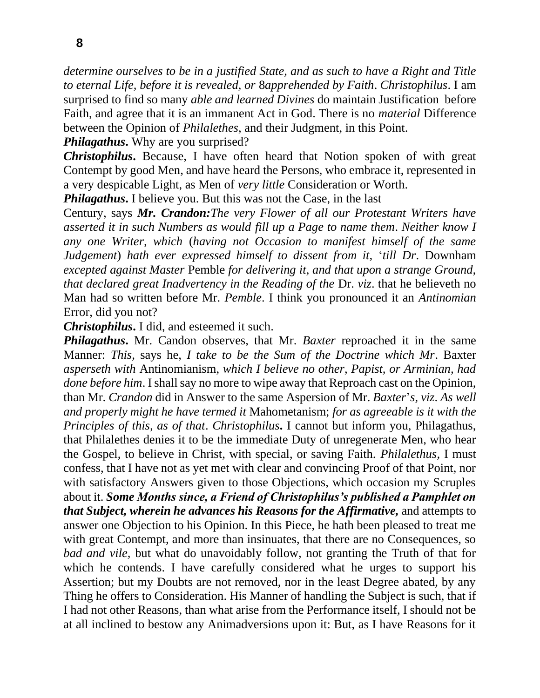*determine ourselves to be in a justified State, and as such to have a Right and Title to eternal Life, before it is revealed, or* 8*apprehended by Faith*. *Christophilus*. I am surprised to find so many *able and learned Divines* do maintain Justification before Faith, and agree that it is an immanent Act in God. There is no *material* Difference between the Opinion of *Philalethes,* and their Judgment, in this Point.

*Philagathus***.** Why are you surprised?

*Christophilus***.** Because, I have often heard that Notion spoken of with great Contempt by good Men, and have heard the Persons, who embrace it, represented in a very despicable Light, as Men of *very little* Consideration or Worth.

*Philagathus***.** I believe you. But this was not the Case, in the last

Century, says *Mr. Crandon:The very Flower of all our Protestant Writers have asserted it in such Numbers as would fill up a Page to name them*. *Neither know I any one Writer, which* (*having not Occasion to manifest himself of the same Judgement*) *hath ever expressed himself to dissent from it,* '*till Dr*. Downham *excepted against Master* Pemble *for delivering it, and that upon a strange Ground, that declared great Inadvertency in the Reading of the Dr. <i>viz.* that he believeth no Man had so written before Mr. *Pemble*. I think you pronounced it an *Antinomian*  Error, did you not?

*Christophilus***.** I did, and esteemed it such.

*Philagathus***.** Mr. Candon observes, that Mr. *Baxter* reproached it in the same Manner: *This,* says he, *I take to be the Sum of the Doctrine which Mr*. Baxter *asperseth with* Antinomianism, *which I believe no other, Papist, or Arminian, had done before him.* I shall say no more to wipe away that Reproach cast on the Opinion, than Mr. *Crandon* did in Answer to the same Aspersion of Mr. *Baxter*'*s, viz*. *As well and properly might he have termed it* Mahometanism; *for as agreeable is it with the Principles of this, as of that*. *Christophilus***.** I cannot but inform you, Philagathus, that Philalethes denies it to be the immediate Duty of unregenerate Men, who hear the Gospel, to believe in Christ, with special, or saving Faith. *Philalethus,* I must confess, that I have not as yet met with clear and convincing Proof of that Point, nor with satisfactory Answers given to those Objections, which occasion my Scruples about it. *Some Months since, a Friend of Christophilus's published a Pamphlet on that Subject, wherein he advances his Reasons for the Affirmative,* and attempts to answer one Objection to his Opinion. In this Piece, he hath been pleased to treat me with great Contempt, and more than insinuates, that there are no Consequences, so *bad and vile,* but what do unavoidably follow, not granting the Truth of that for which he contends. I have carefully considered what he urges to support his Assertion; but my Doubts are not removed, nor in the least Degree abated, by any Thing he offers to Consideration. His Manner of handling the Subject is such, that if I had not other Reasons, than what arise from the Performance itself, I should not be at all inclined to bestow any Animadversions upon it: But, as I have Reasons for it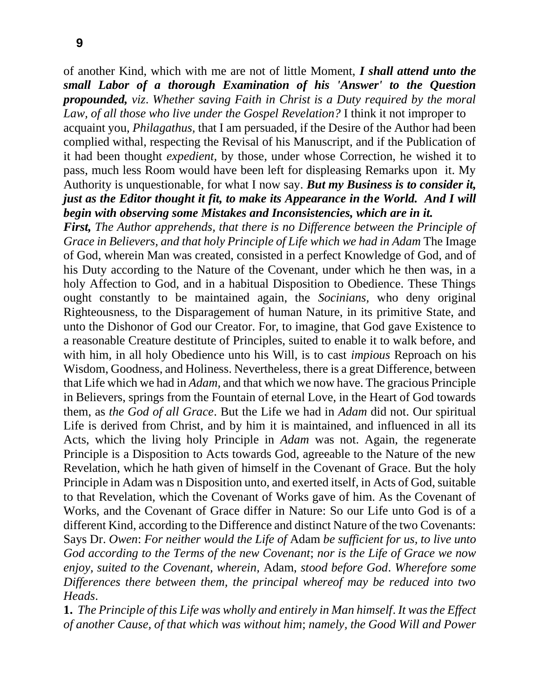of another Kind, which with me are not of little Moment, *I shall attend unto the small Labor of a thorough Examination of his 'Answer' to the Question propounded, viz*. *Whether saving Faith in Christ is a Duty required by the moral Law, of all those who live under the Gospel Revelation?* I think it not improper to

acquaint you, *Philagathus,* that I am persuaded, if the Desire of the Author had been complied withal, respecting the Revisal of his Manuscript, and if the Publication of it had been thought *expedient,* by those, under whose Correction, he wished it to pass, much less Room would have been left for displeasing Remarks upon it. My Authority is unquestionable, for what I now say. *But my Business is to consider it, just as the Editor thought it fit, to make its Appearance in the World. And I will begin with observing some Mistakes and Inconsistencies, which are in it.*

*First, The Author apprehends, that there is no Difference between the Principle of Grace in Believers, and that holy Principle of Life which we had in Adam* The Image of God, wherein Man was created, consisted in a perfect Knowledge of God, and of his Duty according to the Nature of the Covenant, under which he then was, in a holy Affection to God, and in a habitual Disposition to Obedience. These Things ought constantly to be maintained again, the *Socinians,* who deny original Righteousness, to the Disparagement of human Nature, in its primitive State, and unto the Dishonor of God our Creator. For, to imagine, that God gave Existence to a reasonable Creature destitute of Principles, suited to enable it to walk before, and with him, in all holy Obedience unto his Will, is to cast *impious* Reproach on his Wisdom, Goodness, and Holiness. Nevertheless, there is a great Difference, between that Life which we had in *Adam,* and that which we now have. The gracious Principle in Believers, springs from the Fountain of eternal Love, in the Heart of God towards them, as *the God of all Grace*. But the Life we had in *Adam* did not. Our spiritual Life is derived from Christ, and by him it is maintained, and influenced in all its Acts, which the living holy Principle in *Adam* was not. Again, the regenerate Principle is a Disposition to Acts towards God, agreeable to the Nature of the new Revelation, which he hath given of himself in the Covenant of Grace. But the holy Principle in Adam was n Disposition unto, and exerted itself, in Acts of God, suitable to that Revelation, which the Covenant of Works gave of him. As the Covenant of Works, and the Covenant of Grace differ in Nature: So our Life unto God is of a different Kind, according to the Difference and distinct Nature of the two Covenants: Says Dr. *Owen*: *For neither would the Life of* Adam *be sufficient for us, to live unto God according to the Terms of the new Covenant*; *nor is the Life of Grace we now enjoy, suited to the Covenant, wherein,* Adam, *stood before God*. *Wherefore some Differences there between them, the principal whereof may be reduced into two Heads*.

**1.** *The Principle of this Life was wholly and entirely in Man himself*. *It was the Effect of another Cause, of that which was without him*; *namely, the Good Will and Power*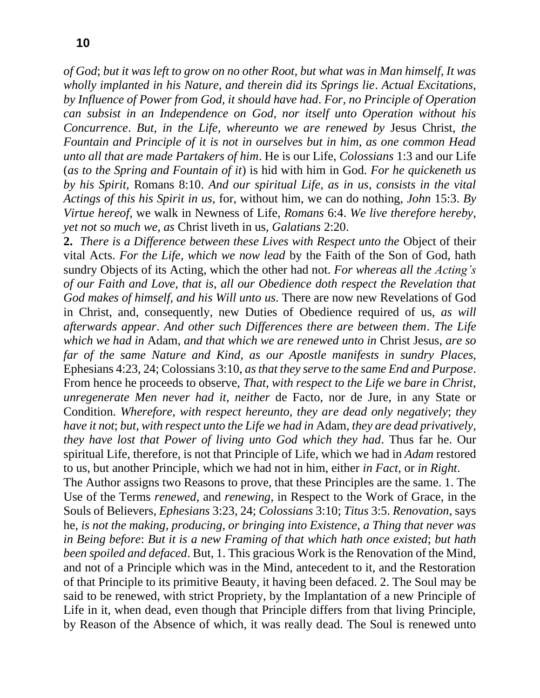*of God*; *but it was left to grow on no other Root, but what was in Man himself, It was wholly implanted in his Nature, and therein did its Springs lie*. *Actual Excitations, by Influence of Power from God, it should have had*. *For, no Principle of Operation can subsist in an Independence on God, nor itself unto Operation without his Concurrence*. *But, in the Life, whereunto we are renewed by* Jesus Christ, *the Fountain and Principle of it is not in ourselves but in him, as one common Head unto all that are made Partakers of him*. He is our Life, *Colossians* 1:3 and our Life (*as to the Spring and Fountain of it*) is hid with him in God. *For he quickeneth us by his Spirit,* Romans 8:10. *And our spiritual Life, as in us, consists in the vital Actings of this his Spirit in us,* for, without him, we can do nothing, *John* 15:3. *By Virtue hereof,* we walk in Newness of Life*, Romans* 6:4. *We live therefore hereby, yet not so much we, as* Christ liveth in us, *Galatians* 2:20.

**2.** *There is a Difference between these Lives with Respect unto the* Object of their vital Acts. *For the Life, which we now lead* by the Faith of the Son of God, hath sundry Objects of its Acting, which the other had not. *For whereas all the Acting's of our Faith and Love, that is, all our Obedience doth respect the Revelation that God makes of himself, and his Will unto us*. There are now new Revelations of God in Christ, and, consequently, new Duties of Obedience required of us, *as will afterwards appear*. *And other such Differences there are between them*. *The Life which we had in* Adam, *and that which we are renewed unto in* Christ Jesus, *are so far of the same Nature and Kind, as our Apostle manifests in sundry Places,*  Ephesians 4:23, 24; Colossians 3:10, *as that they serve to the same End and Purpose*. From hence he proceeds to observe, *That, with respect to the Life we bare in Christ, unregenerate Men never had it, neither* de Facto, nor de Jure, in any State or Condition. *Wherefore, with respect hereunto, they are dead only negatively*; *they have it not*; *but, with respect unto the Life we had in* Adam, *they are dead privatively, they have lost that Power of living unto God which they had*. Thus far he. Our spiritual Life, therefore, is not that Principle of Life, which we had in *Adam* restored to us, but another Principle, which we had not in him, either *in Fact,* or *in Right*.

The Author assigns two Reasons to prove, that these Principles are the same. 1. The Use of the Terms *renewed,* and *renewing,* in Respect to the Work of Grace, in the Souls of Believers, *Ephesians* 3:23, 24; *Colossians* 3:10; *Titus* 3:5. *Renovation,* says he, *is not the making, producing, or bringing into Existence, a Thing that never was in Being before*: *But it is a new Framing of that which hath once existed*; *but hath been spoiled and defaced*. But, 1. This gracious Work is the Renovation of the Mind, and not of a Principle which was in the Mind, antecedent to it, and the Restoration of that Principle to its primitive Beauty, it having been defaced. 2. The Soul may be said to be renewed, with strict Propriety, by the Implantation of a new Principle of Life in it, when dead, even though that Principle differs from that living Principle, by Reason of the Absence of which, it was really dead. The Soul is renewed unto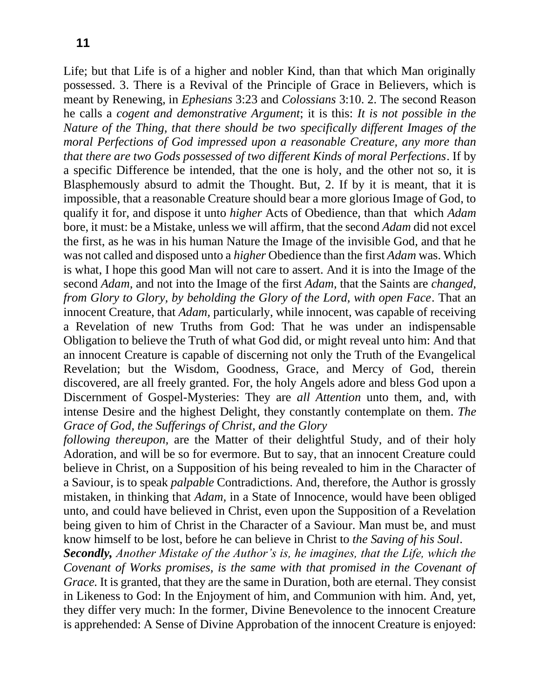Life; but that Life is of a higher and nobler Kind, than that which Man originally possessed. 3. There is a Revival of the Principle of Grace in Believers, which is meant by Renewing, in *Ephesians* 3:23 and *Colossians* 3:10. 2. The second Reason he calls a *cogent and demonstrative Argument*; it is this: *It is not possible in the Nature of the Thing, that there should be two specifically different Images of the moral Perfections of God impressed upon a reasonable Creature, any more than that there are two Gods possessed of two different Kinds of moral Perfections*. If by a specific Difference be intended, that the one is holy, and the other not so, it is Blasphemously absurd to admit the Thought. But, 2. If by it is meant, that it is impossible, that a reasonable Creature should bear a more glorious Image of God, to qualify it for, and dispose it unto *higher* Acts of Obedience, than that which *Adam*  bore, it must: be a Mistake, unless we will affirm, that the second *Adam* did not excel the first, as he was in his human Nature the Image of the invisible God, and that he was not called and disposed unto a *higher* Obedience than the first *Adam* was. Which is what, I hope this good Man will not care to assert. And it is into the Image of the second *Adam,* and not into the Image of the first *Adam,* that the Saints are *changed, from Glory to Glory, by beholding the Glory of the Lord, with open Face*. That an innocent Creature, that *Adam,* particularly, while innocent, was capable of receiving a Revelation of new Truths from God: That he was under an indispensable Obligation to believe the Truth of what God did, or might reveal unto him: And that an innocent Creature is capable of discerning not only the Truth of the Evangelical Revelation; but the Wisdom, Goodness, Grace, and Mercy of God, therein discovered, are all freely granted. For, the holy Angels adore and bless God upon a Discernment of Gospel-Mysteries: They are *all Attention* unto them, and, with intense Desire and the highest Delight, they constantly contemplate on them. *The Grace of God, the Sufferings of Christ, and the Glory*

*following thereupon,* are the Matter of their delightful Study, and of their holy Adoration, and will be so for evermore. But to say, that an innocent Creature could believe in Christ, on a Supposition of his being revealed to him in the Character of a Saviour, is to speak *palpable* Contradictions. And, therefore, the Author is grossly mistaken, in thinking that *Adam,* in a State of Innocence, would have been obliged unto, and could have believed in Christ, even upon the Supposition of a Revelation being given to him of Christ in the Character of a Saviour. Man must be, and must know himself to be lost, before he can believe in Christ to *the Saving of his Soul*.

*Secondly, Another Mistake of the Author's is, he imagines, that the Life, which the Covenant of Works promises, is the same with that promised in the Covenant of Grace.* It is granted, that they are the same in Duration, both are eternal. They consist in Likeness to God: In the Enjoyment of him, and Communion with him. And, yet, they differ very much: In the former, Divine Benevolence to the innocent Creature is apprehended: A Sense of Divine Approbation of the innocent Creature is enjoyed: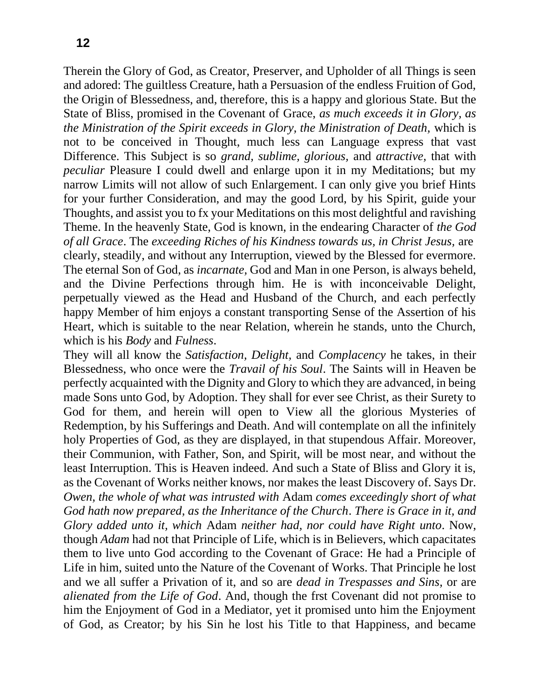Therein the Glory of God, as Creator, Preserver, and Upholder of all Things is seen and adored: The guiltless Creature, hath a Persuasion of the endless Fruition of God, the Origin of Blessedness, and, therefore, this is a happy and glorious State. But the State of Bliss, promised in the Covenant of Grace, *as much exceeds it in Glory, as the Ministration of the Spirit exceeds in Glory, the Ministration of Death,* which is not to be conceived in Thought, much less can Language express that vast Difference. This Subject is so *grand, sublime, glorious,* and *attractive,* that with *peculiar* Pleasure I could dwell and enlarge upon it in my Meditations; but my narrow Limits will not allow of such Enlargement. I can only give you brief Hints for your further Consideration, and may the good Lord, by his Spirit, guide your Thoughts, and assist you to fx your Meditations on this most delightful and ravishing Theme. In the heavenly State, God is known, in the endearing Character of *the God of all Grace*. The *exceeding Riches of his Kindness towards us, in Christ Jesus,* are clearly, steadily, and without any Interruption, viewed by the Blessed for evermore. The eternal Son of God, as *incarnate,* God and Man in one Person, is always beheld, and the Divine Perfections through him. He is with inconceivable Delight, perpetually viewed as the Head and Husband of the Church, and each perfectly happy Member of him enjoys a constant transporting Sense of the Assertion of his Heart, which is suitable to the near Relation, wherein he stands, unto the Church, which is his *Body* and *Fulness*.

They will all know the *Satisfaction, Delight,* and *Complacency* he takes, in their Blessedness, who once were the *Travail of his Soul*. The Saints will in Heaven be perfectly acquainted with the Dignity and Glory to which they are advanced, in being made Sons unto God, by Adoption. They shall for ever see Christ, as their Surety to God for them, and herein will open to View all the glorious Mysteries of Redemption, by his Sufferings and Death. And will contemplate on all the infinitely holy Properties of God, as they are displayed, in that stupendous Affair. Moreover, their Communion, with Father, Son, and Spirit, will be most near, and without the least Interruption. This is Heaven indeed. And such a State of Bliss and Glory it is, as the Covenant of Works neither knows, nor makes the least Discovery of. Says Dr. *Owen, the whole of what was intrusted with* Adam *comes exceedingly short of what God hath now prepared, as the Inheritance of the Church*. *There is Grace in it, and Glory added unto it, which* Adam *neither had, nor could have Right unto*. Now, though *Adam* had not that Principle of Life, which is in Believers, which capacitates them to live unto God according to the Covenant of Grace: He had a Principle of Life in him, suited unto the Nature of the Covenant of Works. That Principle he lost and we all suffer a Privation of it, and so are *dead in Trespasses and Sins,* or are *alienated from the Life of God*. And, though the frst Covenant did not promise to him the Enjoyment of God in a Mediator, yet it promised unto him the Enjoyment of God, as Creator; by his Sin he lost his Title to that Happiness, and became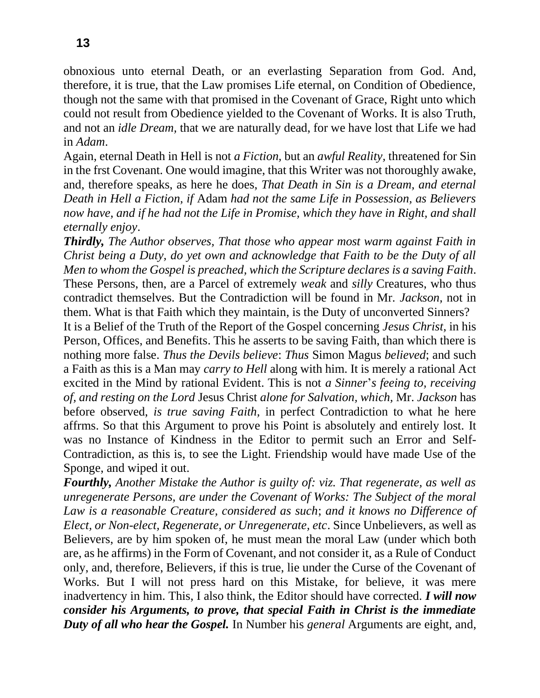obnoxious unto eternal Death, or an everlasting Separation from God. And, therefore, it is true, that the Law promises Life eternal, on Condition of Obedience, though not the same with that promised in the Covenant of Grace, Right unto which could not result from Obedience yielded to the Covenant of Works. It is also Truth, and not an *idle Dream,* that we are naturally dead, for we have lost that Life we had in *Adam*.

Again, eternal Death in Hell is not *a Fiction,* but an *awful Reality,* threatened for Sin in the frst Covenant. One would imagine, that this Writer was not thoroughly awake, and, therefore speaks, as here he does, *That Death in Sin is a Dream, and eternal Death in Hell a Fiction, if* Adam *had not the same Life in Possession, as Believers now have, and if he had not the Life in Promise, which they have in Right, and shall eternally enjoy*.

*Thirdly, The Author observes, That those who appear most warm against Faith in Christ being a Duty, do yet own and acknowledge that Faith to be the Duty of all Men to whom the Gospel is preached, which the Scripture declares is a saving Faith*. These Persons, then, are a Parcel of extremely *weak* and *silly* Creatures, who thus contradict themselves. But the Contradiction will be found in Mr. *Jackson,* not in them. What is that Faith which they maintain, is the Duty of unconverted Sinners?

It is a Belief of the Truth of the Report of the Gospel concerning *Jesus Christ,* in his Person, Offices, and Benefits. This he asserts to be saving Faith, than which there is nothing more false. *Thus the Devils believe*: *Thus* Simon Magus *believed*; and such a Faith as this is a Man may *carry to Hell* along with him. It is merely a rational Act excited in the Mind by rational Evident. This is not *a Sinner*'*s feeing to, receiving of, and resting on the Lord* Jesus Christ *alone for Salvation, which,* Mr. *Jackson* has before observed, *is true saving Faith,* in perfect Contradiction to what he here affrms. So that this Argument to prove his Point is absolutely and entirely lost. It was no Instance of Kindness in the Editor to permit such an Error and Self-Contradiction, as this is, to see the Light. Friendship would have made Use of the Sponge, and wiped it out.

*Fourthly, Another Mistake the Author is guilty of: viz. That regenerate, as well as unregenerate Persons, are under the Covenant of Works: The Subject of the moral Law is a reasonable Creature, considered as such*; *and it knows no Difference of Elect, or Non-elect, Regenerate, or Unregenerate, etc*. Since Unbelievers, as well as Believers, are by him spoken of, he must mean the moral Law (under which both are, as he affirms) in the Form of Covenant, and not consider it, as a Rule of Conduct only, and, therefore, Believers, if this is true, lie under the Curse of the Covenant of Works. But I will not press hard on this Mistake, for believe, it was mere inadvertency in him. This, I also think, the Editor should have corrected. *I will now consider his Arguments, to prove, that special Faith in Christ is the immediate Duty of all who hear the Gospel.* In Number his *general* Arguments are eight, and,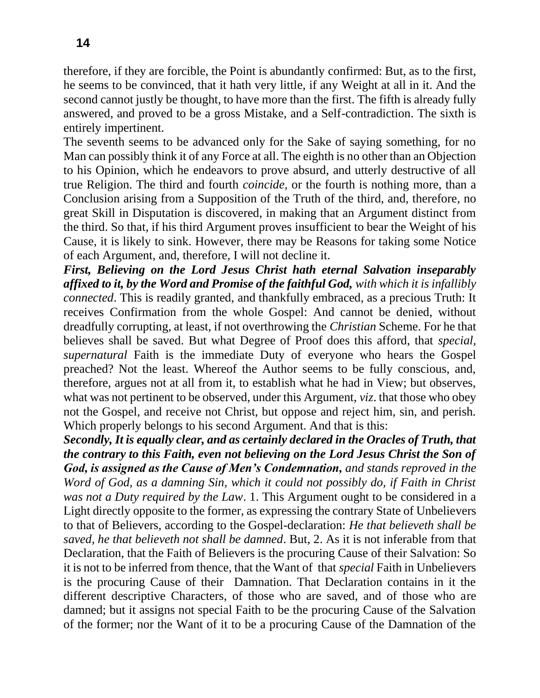therefore, if they are forcible, the Point is abundantly confirmed: But, as to the first, he seems to be convinced, that it hath very little, if any Weight at all in it. And the second cannot justly be thought, to have more than the first. The fifth is already fully answered, and proved to be a gross Mistake, and a Self-contradiction. The sixth is entirely impertinent.

The seventh seems to be advanced only for the Sake of saying something, for no Man can possibly think it of any Force at all. The eighth is no other than an Objection to his Opinion, which he endeavors to prove absurd, and utterly destructive of all true Religion. The third and fourth *coincide,* or the fourth is nothing more, than a Conclusion arising from a Supposition of the Truth of the third, and, therefore, no great Skill in Disputation is discovered, in making that an Argument distinct from the third. So that, if his third Argument proves insufficient to bear the Weight of his Cause, it is likely to sink. However, there may be Reasons for taking some Notice of each Argument, and, therefore, I will not decline it.

*First, Believing on the Lord Jesus Christ hath eternal Salvation inseparably affixed to it, by the Word and Promise of the faithful God, with which it is infallibly connected*. This is readily granted, and thankfully embraced, as a precious Truth: It receives Confirmation from the whole Gospel: And cannot be denied, without dreadfully corrupting, at least, if not overthrowing the *Christian* Scheme. For he that believes shall be saved. But what Degree of Proof does this afford, that *special, supernatural* Faith is the immediate Duty of everyone who hears the Gospel preached? Not the least. Whereof the Author seems to be fully conscious, and, therefore, argues not at all from it, to establish what he had in View; but observes, what was not pertinent to be observed, under this Argument, *viz*. that those who obey not the Gospel, and receive not Christ, but oppose and reject him, sin, and perish. Which properly belongs to his second Argument. And that is this:

*Secondly, It is equally clear, and as certainly declared in the Oracles of Truth, that the contrary to this Faith, even not believing on the Lord Jesus Christ the Son of God, is assigned as the Cause of Men's Condemnation, and stands reproved in the Word of God, as a damning Sin, which it could not possibly do, if Faith in Christ was not a Duty required by the Law*. 1. This Argument ought to be considered in a Light directly opposite to the former, as expressing the contrary State of Unbelievers to that of Believers, according to the Gospel-declaration: *He that believeth shall be saved, he that believeth not shall be damned*. But, 2. As it is not inferable from that Declaration, that the Faith of Believers is the procuring Cause of their Salvation: So it is not to be inferred from thence, that the Want of that *special* Faith in Unbelievers is the procuring Cause of their Damnation. That Declaration contains in it the different descriptive Characters, of those who are saved, and of those who are damned; but it assigns not special Faith to be the procuring Cause of the Salvation of the former; nor the Want of it to be a procuring Cause of the Damnation of the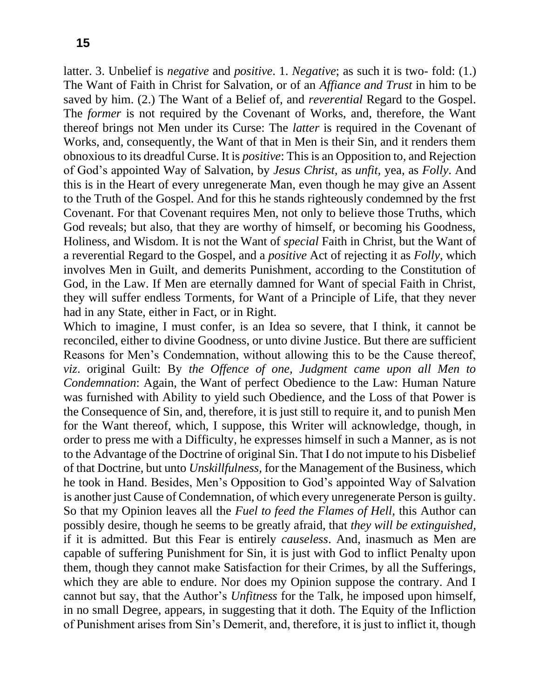latter. 3. Unbelief is *negative* and *positive*. 1. *Negative*; as such it is two- fold: (1.) The Want of Faith in Christ for Salvation, or of an *Affiance and Trust* in him to be saved by him. (2.) The Want of a Belief of, and *reverential* Regard to the Gospel. The *former* is not required by the Covenant of Works, and, therefore, the Want thereof brings not Men under its Curse: The *latter* is required in the Covenant of Works, and, consequently, the Want of that in Men is their Sin, and it renders them obnoxious to its dreadful Curse. It is *positive*: This is an Opposition to, and Rejection of God's appointed Way of Salvation, by *Jesus Christ,* as *unfit,* yea, as *Folly*. And this is in the Heart of every unregenerate Man, even though he may give an Assent to the Truth of the Gospel. And for this he stands righteously condemned by the frst Covenant. For that Covenant requires Men, not only to believe those Truths, which God reveals; but also, that they are worthy of himself, or becoming his Goodness, Holiness, and Wisdom. It is not the Want of *special* Faith in Christ, but the Want of a reverential Regard to the Gospel, and a *positive* Act of rejecting it as *Folly,* which involves Men in Guilt, and demerits Punishment, according to the Constitution of God, in the Law. If Men are eternally damned for Want of special Faith in Christ, they will suffer endless Torments, for Want of a Principle of Life, that they never had in any State, either in Fact, or in Right.

Which to imagine, I must confer, is an Idea so severe, that I think, it cannot be reconciled, either to divine Goodness, or unto divine Justice. But there are sufficient Reasons for Men's Condemnation, without allowing this to be the Cause thereof, *viz*. original Guilt: By *the Offence of one, Judgment came upon all Men to Condemnation*: Again, the Want of perfect Obedience to the Law: Human Nature was furnished with Ability to yield such Obedience, and the Loss of that Power is the Consequence of Sin, and, therefore, it is just still to require it, and to punish Men for the Want thereof, which, I suppose, this Writer will acknowledge, though, in order to press me with a Difficulty, he expresses himself in such a Manner, as is not to the Advantage of the Doctrine of original Sin. That I do not impute to his Disbelief of that Doctrine, but unto *Unskillfulness,* for the Management of the Business, which he took in Hand. Besides, Men's Opposition to God's appointed Way of Salvation is another just Cause of Condemnation, of which every unregenerate Person is guilty. So that my Opinion leaves all the *Fuel to feed the Flames of Hell,* this Author can possibly desire, though he seems to be greatly afraid, that *they will be extinguished,*  if it is admitted. But this Fear is entirely *causeless*. And, inasmuch as Men are capable of suffering Punishment for Sin, it is just with God to inflict Penalty upon them, though they cannot make Satisfaction for their Crimes, by all the Sufferings, which they are able to endure. Nor does my Opinion suppose the contrary. And I cannot but say, that the Author's *Unfitness* for the Talk, he imposed upon himself, in no small Degree, appears, in suggesting that it doth. The Equity of the Infliction of Punishment arises from Sin's Demerit, and, therefore, it is just to inflict it, though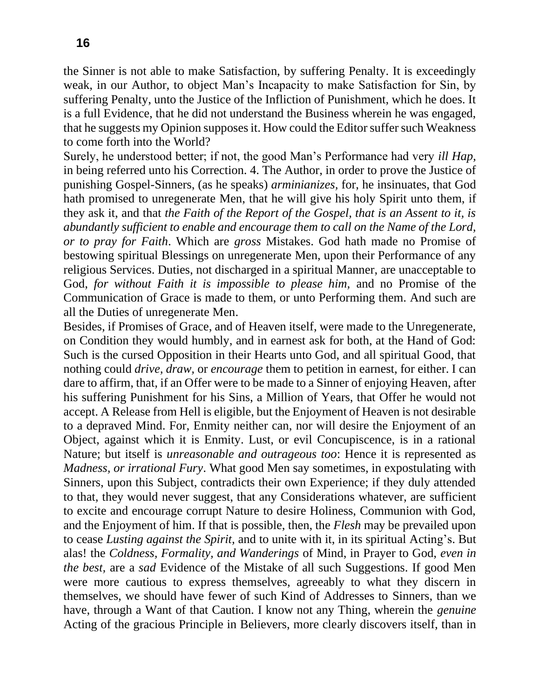the Sinner is not able to make Satisfaction, by suffering Penalty. It is exceedingly weak, in our Author, to object Man's Incapacity to make Satisfaction for Sin, by suffering Penalty, unto the Justice of the Infliction of Punishment, which he does. It is a full Evidence, that he did not understand the Business wherein he was engaged, that he suggests my Opinion supposes it. How could the Editor suffer such Weakness to come forth into the World?

Surely, he understood better; if not, the good Man's Performance had very *ill Hap,*  in being referred unto his Correction. 4. The Author, in order to prove the Justice of punishing Gospel-Sinners, (as he speaks) *arminianizes,* for, he insinuates, that God hath promised to unregenerate Men, that he will give his holy Spirit unto them, if they ask it, and that *the Faith of the Report of the Gospel, that is an Assent to it, is abundantly sufficient to enable and encourage them to call on the Name of the Lord, or to pray for Faith*. Which are *gross* Mistakes. God hath made no Promise of bestowing spiritual Blessings on unregenerate Men, upon their Performance of any religious Services. Duties, not discharged in a spiritual Manner, are unacceptable to God, *for without Faith it is impossible to please him,* and no Promise of the Communication of Grace is made to them, or unto Performing them. And such are all the Duties of unregenerate Men.

Besides, if Promises of Grace, and of Heaven itself, were made to the Unregenerate, on Condition they would humbly, and in earnest ask for both, at the Hand of God: Such is the cursed Opposition in their Hearts unto God, and all spiritual Good, that nothing could *drive, draw,* or *encourage* them to petition in earnest, for either. I can dare to affirm, that, if an Offer were to be made to a Sinner of enjoying Heaven, after his suffering Punishment for his Sins, a Million of Years, that Offer he would not accept. A Release from Hell is eligible, but the Enjoyment of Heaven is not desirable to a depraved Mind. For, Enmity neither can, nor will desire the Enjoyment of an Object, against which it is Enmity. Lust, or evil Concupiscence, is in a rational Nature; but itself is *unreasonable and outrageous too*: Hence it is represented as *Madness, or irrational Fury*. What good Men say sometimes, in expostulating with Sinners, upon this Subject, contradicts their own Experience; if they duly attended to that, they would never suggest, that any Considerations whatever, are sufficient to excite and encourage corrupt Nature to desire Holiness, Communion with God, and the Enjoyment of him. If that is possible, then, the *Flesh* may be prevailed upon to cease *Lusting against the Spirit,* and to unite with it, in its spiritual Acting's. But alas! the *Coldness, Formality, and Wanderings* of Mind, in Prayer to God, *even in the best,* are a *sad* Evidence of the Mistake of all such Suggestions. If good Men were more cautious to express themselves, agreeably to what they discern in themselves, we should have fewer of such Kind of Addresses to Sinners, than we have, through a Want of that Caution. I know not any Thing, wherein the *genuine*  Acting of the gracious Principle in Believers, more clearly discovers itself, than in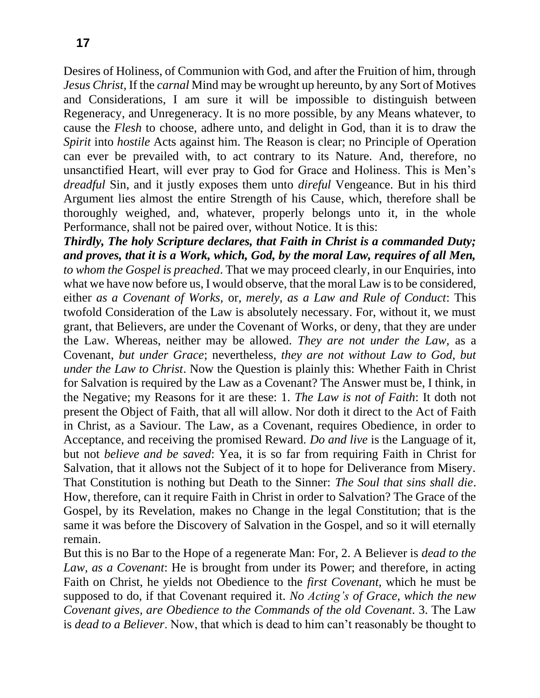Desires of Holiness, of Communion with God, and after the Fruition of him, through *Jesus Christ,* If the *carnal* Mind may be wrought up hereunto, by any Sort of Motives and Considerations, I am sure it will be impossible to distinguish between Regeneracy, and Unregeneracy. It is no more possible, by any Means whatever, to cause the *Flesh* to choose, adhere unto, and delight in God, than it is to draw the *Spirit* into *hostile* Acts against him. The Reason is clear; no Principle of Operation can ever be prevailed with, to act contrary to its Nature. And, therefore, no unsanctified Heart, will ever pray to God for Grace and Holiness. This is Men's *dreadful* Sin, and it justly exposes them unto *direful* Vengeance. But in his third Argument lies almost the entire Strength of his Cause, which, therefore shall be thoroughly weighed, and, whatever, properly belongs unto it, in the whole Performance, shall not be paired over, without Notice. It is this:

*Thirdly, The holy Scripture declares, that Faith in Christ is a commanded Duty; and proves, that it is a Work, which, God, by the moral Law, requires of all Men, to whom the Gospel is preached*. That we may proceed clearly, in our Enquiries, into what we have now before us, I would observe, that the moral Law is to be considered, either *as a Covenant of Works,* or, *merely, as a Law and Rule of Conduct*: This twofold Consideration of the Law is absolutely necessary. For, without it, we must grant, that Believers, are under the Covenant of Works, or deny, that they are under the Law. Whereas, neither may be allowed. *They are not under the Law,* as a Covenant, *but under Grace*; nevertheless, *they are not without Law to God, but under the Law to Christ*. Now the Question is plainly this: Whether Faith in Christ for Salvation is required by the Law as a Covenant? The Answer must be, I think, in the Negative; my Reasons for it are these: 1. *The Law is not of Faith*: It doth not present the Object of Faith, that all will allow. Nor doth it direct to the Act of Faith in Christ, as a Saviour. The Law, as a Covenant, requires Obedience, in order to Acceptance, and receiving the promised Reward. *Do and live* is the Language of it, but not *believe and be saved*: Yea, it is so far from requiring Faith in Christ for Salvation, that it allows not the Subject of it to hope for Deliverance from Misery. That Constitution is nothing but Death to the Sinner: *The Soul that sins shall die*. How, therefore, can it require Faith in Christ in order to Salvation? The Grace of the Gospel, by its Revelation, makes no Change in the legal Constitution; that is the same it was before the Discovery of Salvation in the Gospel, and so it will eternally remain.

But this is no Bar to the Hope of a regenerate Man: For, 2. A Believer is *dead to the Law, as a Covenant*: He is brought from under its Power; and therefore, in acting Faith on Christ, he yields not Obedience to the *first Covenant,* which he must be supposed to do, if that Covenant required it. *No Acting's of Grace, which the new Covenant gives, are Obedience to the Commands of the old Covenant*. 3. The Law is *dead to a Believer*. Now, that which is dead to him can't reasonably be thought to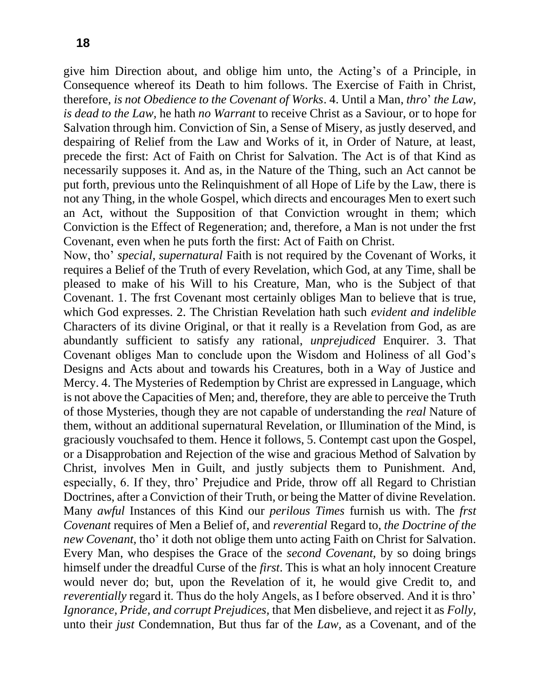give him Direction about, and oblige him unto, the Acting's of a Principle, in Consequence whereof its Death to him follows. The Exercise of Faith in Christ, therefore, *is not Obedience to the Covenant of Works*. 4. Until a Man, *thro*' *the Law, is dead to the Law,* he hath *no Warrant* to receive Christ as a Saviour, or to hope for Salvation through him. Conviction of Sin, a Sense of Misery, as justly deserved, and despairing of Relief from the Law and Works of it, in Order of Nature, at least, precede the first: Act of Faith on Christ for Salvation. The Act is of that Kind as necessarily supposes it. And as, in the Nature of the Thing, such an Act cannot be put forth, previous unto the Relinquishment of all Hope of Life by the Law, there is not any Thing, in the whole Gospel, which directs and encourages Men to exert such an Act, without the Supposition of that Conviction wrought in them; which Conviction is the Effect of Regeneration; and, therefore, a Man is not under the frst Covenant, even when he puts forth the first: Act of Faith on Christ.

Now, tho' *special, supernatural* Faith is not required by the Covenant of Works, it requires a Belief of the Truth of every Revelation, which God, at any Time, shall be pleased to make of his Will to his Creature, Man, who is the Subject of that Covenant. 1. The frst Covenant most certainly obliges Man to believe that is true, which God expresses. 2. The Christian Revelation hath such *evident and indelible*  Characters of its divine Original, or that it really is a Revelation from God, as are abundantly sufficient to satisfy any rational, *unprejudiced* Enquirer. 3. That Covenant obliges Man to conclude upon the Wisdom and Holiness of all God's Designs and Acts about and towards his Creatures, both in a Way of Justice and Mercy. 4. The Mysteries of Redemption by Christ are expressed in Language, which is not above the Capacities of Men; and, therefore, they are able to perceive the Truth of those Mysteries, though they are not capable of understanding the *real* Nature of them, without an additional supernatural Revelation, or Illumination of the Mind, is graciously vouchsafed to them. Hence it follows, 5. Contempt cast upon the Gospel, or a Disapprobation and Rejection of the wise and gracious Method of Salvation by Christ, involves Men in Guilt, and justly subjects them to Punishment. And, especially, 6. If they, thro' Prejudice and Pride, throw off all Regard to Christian Doctrines, after a Conviction of their Truth, or being the Matter of divine Revelation. Many *awful* Instances of this Kind our *perilous Times* furnish us with. The *frst Covenant* requires of Men a Belief of, and *reverential* Regard to, *the Doctrine of the new Covenant,* tho' it doth not oblige them unto acting Faith on Christ for Salvation. Every Man, who despises the Grace of the *second Covenant,* by so doing brings himself under the dreadful Curse of the *first*. This is what an holy innocent Creature would never do; but, upon the Revelation of it, he would give Credit to, and *reverentially* regard it. Thus do the holy Angels, as I before observed. And it is thro' *Ignorance, Pride, and corrupt Prejudices,* that Men disbelieve, and reject it as *Folly,*  unto their *just* Condemnation, But thus far of the *Law,* as a Covenant, and of the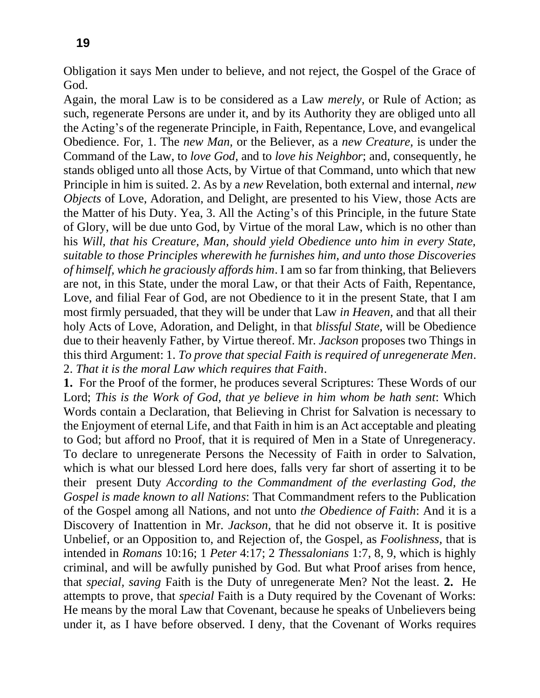Obligation it says Men under to believe, and not reject, the Gospel of the Grace of God.

Again, the moral Law is to be considered as a Law *merely,* or Rule of Action; as such, regenerate Persons are under it, and by its Authority they are obliged unto all the Acting's of the regenerate Principle, in Faith, Repentance, Love, and evangelical Obedience. For, 1. The *new Man,* or the Believer, as a *new Creature,* is under the Command of the Law, to *love God,* and to *love his Neighbor*; and, consequently, he stands obliged unto all those Acts, by Virtue of that Command, unto which that new Principle in him is suited. 2. As by a *new* Revelation, both external and internal, *new Objects* of Love, Adoration, and Delight, are presented to his View, those Acts are the Matter of his Duty. Yea, 3. All the Acting's of this Principle, in the future State of Glory, will be due unto God, by Virtue of the moral Law, which is no other than his *Will, that his Creature, Man, should yield Obedience unto him in every State, suitable to those Principles wherewith he furnishes him, and unto those Discoveries of himself, which he graciously affords him*. I am so far from thinking, that Believers are not, in this State, under the moral Law, or that their Acts of Faith, Repentance, Love, and filial Fear of God, are not Obedience to it in the present State, that I am most firmly persuaded, that they will be under that Law *in Heaven,* and that all their holy Acts of Love, Adoration, and Delight, in that *blissful State,* will be Obedience due to their heavenly Father, by Virtue thereof. Mr. *Jackson* proposes two Things in this third Argument: 1. *To prove that special Faith is required of unregenerate Men*. 2. *That it is the moral Law which requires that Faith*.

**1.** For the Proof of the former, he produces several Scriptures: These Words of our Lord; *This is the Work of God, that ye believe in him whom be hath sent*: Which Words contain a Declaration, that Believing in Christ for Salvation is necessary to the Enjoyment of eternal Life, and that Faith in him is an Act acceptable and pleating to God; but afford no Proof, that it is required of Men in a State of Unregeneracy. To declare to unregenerate Persons the Necessity of Faith in order to Salvation, which is what our blessed Lord here does, falls very far short of asserting it to be their present Duty *According to the Commandment of the everlasting God, the Gospel is made known to all Nations*: That Commandment refers to the Publication of the Gospel among all Nations, and not unto *the Obedience of Faith*: And it is a Discovery of Inattention in Mr. *Jackson,* that he did not observe it. It is positive Unbelief, or an Opposition to, and Rejection of, the Gospel, as *Foolishness,* that is intended in *Romans* 10:16; 1 *Peter* 4:17; 2 *Thessalonians* 1:7, 8, 9, which is highly criminal, and will be awfully punished by God. But what Proof arises from hence, that *special, saving* Faith is the Duty of unregenerate Men? Not the least. **2.** He attempts to prove, that *special* Faith is a Duty required by the Covenant of Works: He means by the moral Law that Covenant, because he speaks of Unbelievers being under it, as I have before observed. I deny, that the Covenant of Works requires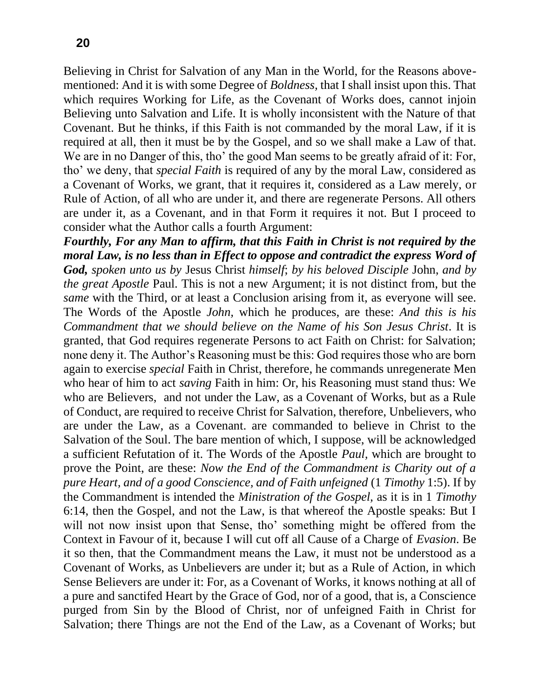Believing in Christ for Salvation of any Man in the World, for the Reasons abovementioned: And it is with some Degree of *Boldness,* that I shall insist upon this. That which requires Working for Life, as the Covenant of Works does, cannot injoin Believing unto Salvation and Life. It is wholly inconsistent with the Nature of that Covenant. But he thinks, if this Faith is not commanded by the moral Law, if it is required at all, then it must be by the Gospel, and so we shall make a Law of that. We are in no Danger of this, tho' the good Man seems to be greatly afraid of it: For, tho' we deny, that *special Faith* is required of any by the moral Law, considered as a Covenant of Works, we grant, that it requires it, considered as a Law merely, or Rule of Action, of all who are under it, and there are regenerate Persons. All others are under it, as a Covenant, and in that Form it requires it not. But I proceed to consider what the Author calls a fourth Argument:

*Fourthly, For any Man to affirm, that this Faith in Christ is not required by the moral Law, is no less than in Effect to oppose and contradict the express Word of God, spoken unto us by* Jesus Christ *himself*; *by his beloved Disciple* John, *and by the great Apostle* Paul. This is not a new Argument; it is not distinct from, but the *same* with the Third, or at least a Conclusion arising from it, as everyone will see. The Words of the Apostle *John,* which he produces, are these: *And this is his Commandment that we should believe on the Name of his Son Jesus Christ*. It is granted, that God requires regenerate Persons to act Faith on Christ: for Salvation; none deny it. The Author's Reasoning must be this: God requires those who are born again to exercise *special* Faith in Christ, therefore, he commands unregenerate Men who hear of him to act *saving* Faith in him: Or, his Reasoning must stand thus: We who are Believers, and not under the Law, as a Covenant of Works, but as a Rule of Conduct, are required to receive Christ for Salvation, therefore, Unbelievers, who are under the Law, as a Covenant. are commanded to believe in Christ to the Salvation of the Soul. The bare mention of which, I suppose, will be acknowledged a sufficient Refutation of it. The Words of the Apostle *Paul,* which are brought to prove the Point, are these: *Now the End of the Commandment is Charity out of a pure Heart, and of a good Conscience, and of Faith unfeigned* (1 *Timothy* 1:5). If by the Commandment is intended the *Ministration of the Gospel,* as it is in 1 *Timothy*  6:14, then the Gospel, and not the Law, is that whereof the Apostle speaks: But I will not now insist upon that Sense, tho' something might be offered from the Context in Favour of it, because I will cut off all Cause of a Charge of *Evasion*. Be it so then, that the Commandment means the Law, it must not be understood as a Covenant of Works, as Unbelievers are under it; but as a Rule of Action, in which Sense Believers are under it: For, as a Covenant of Works, it knows nothing at all of a pure and sanctifed Heart by the Grace of God, nor of a good, that is, a Conscience purged from Sin by the Blood of Christ, nor of unfeigned Faith in Christ for Salvation; there Things are not the End of the Law, as a Covenant of Works; but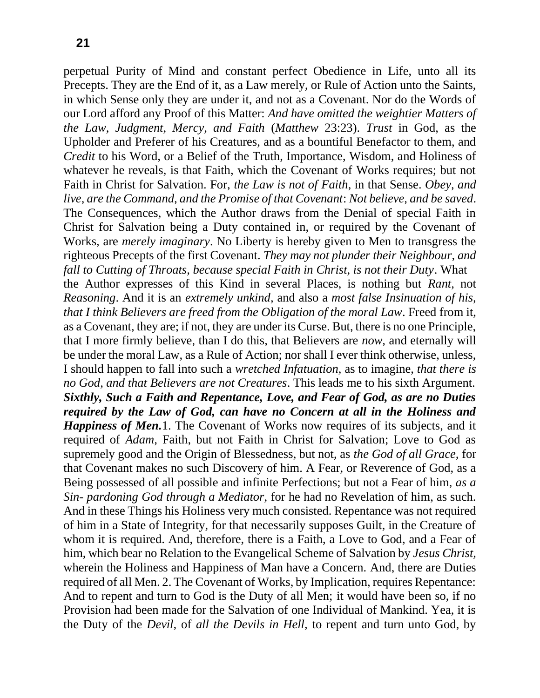perpetual Purity of Mind and constant perfect Obedience in Life, unto all its Precepts. They are the End of it, as a Law merely, or Rule of Action unto the Saints, in which Sense only they are under it, and not as a Covenant. Nor do the Words of our Lord afford any Proof of this Matter: *And have omitted the weightier Matters of the Law, Judgment, Mercy, and Faith* (*Matthew* 23:23). *Trust* in God, as the Upholder and Preferer of his Creatures, and as a bountiful Benefactor to them, and *Credit* to his Word, or a Belief of the Truth, Importance, Wisdom, and Holiness of whatever he reveals, is that Faith, which the Covenant of Works requires; but not Faith in Christ for Salvation. For, *the Law is not of Faith,* in that Sense. *Obey, and live, are the Command, and the Promise of that Covenant*: *Not believe, and be saved*. The Consequences, which the Author draws from the Denial of special Faith in Christ for Salvation being a Duty contained in, or required by the Covenant of Works, are *merely imaginary*. No Liberty is hereby given to Men to transgress the righteous Precepts of the first Covenant. *They may not plunder their Neighbour, and fall to Cutting of Throats, because special Faith in Christ, is not their Duty*. What the Author expresses of this Kind in several Places, is nothing but *Rant,* not *Reasoning*. And it is an *extremely unkind,* and also a *most false Insinuation of his, that I think Believers are freed from the Obligation of the moral Law*. Freed from it, as a Covenant, they are; if not, they are under its Curse. But, there is no one Principle, that I more firmly believe, than I do this, that Believers are *now,* and eternally will be under the moral Law, as a Rule of Action; nor shall I ever think otherwise, unless, I should happen to fall into such a *wretched Infatuation,* as to imagine, *that there is no God, and that Believers are not Creatures*. This leads me to his sixth Argument. *Sixthly, Such a Faith and Repentance, Love, and Fear of God, as are no Duties required by the Law of God, can have no Concern at all in the Holiness and Happiness of Men.*1. The Covenant of Works now requires of its subjects, and it required of *Adam,* Faith, but not Faith in Christ for Salvation; Love to God as supremely good and the Origin of Blessedness, but not, as *the God of all Grace,* for that Covenant makes no such Discovery of him. A Fear, or Reverence of God, as a Being possessed of all possible and infinite Perfections; but not a Fear of him, *as a Sin- pardoning God through a Mediator,* for he had no Revelation of him, as such. And in these Things his Holiness very much consisted. Repentance was not required of him in a State of Integrity, for that necessarily supposes Guilt, in the Creature of whom it is required. And, therefore, there is a Faith, a Love to God, and a Fear of him, which bear no Relation to the Evangelical Scheme of Salvation by *Jesus Christ,*  wherein the Holiness and Happiness of Man have a Concern. And, there are Duties required of all Men. 2. The Covenant of Works, by Implication, requires Repentance: And to repent and turn to God is the Duty of all Men; it would have been so, if no Provision had been made for the Salvation of one Individual of Mankind. Yea, it is the Duty of the *Devil,* of *all the Devils in Hell,* to repent and turn unto God, by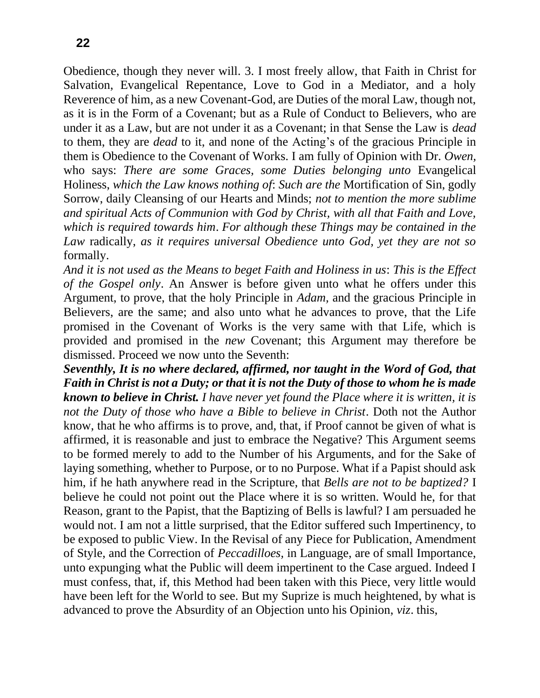Obedience, though they never will. 3. I most freely allow, that Faith in Christ for Salvation, Evangelical Repentance, Love to God in a Mediator, and a holy Reverence of him, as a new Covenant-God, are Duties of the moral Law, though not, as it is in the Form of a Covenant; but as a Rule of Conduct to Believers, who are under it as a Law, but are not under it as a Covenant; in that Sense the Law is *dead*  to them, they are *dead* to it, and none of the Acting's of the gracious Principle in them is Obedience to the Covenant of Works. I am fully of Opinion with Dr. *Owen,*  who says: *There are some Graces, some Duties belonging unto* Evangelical Holiness, *which the Law knows nothing of*: *Such are the* Mortification of Sin, godly Sorrow, daily Cleansing of our Hearts and Minds; *not to mention the more sublime and spiritual Acts of Communion with God by Christ, with all that Faith and Love, which is required towards him*. *For although these Things may be contained in the Law* radically, *as it requires universal Obedience unto God, yet they are not so*  formally.

*And it is not used as the Means to beget Faith and Holiness in us*: *This is the Effect of the Gospel only*. An Answer is before given unto what he offers under this Argument, to prove, that the holy Principle in *Adam,* and the gracious Principle in Believers, are the same; and also unto what he advances to prove, that the Life promised in the Covenant of Works is the very same with that Life, which is provided and promised in the *new* Covenant; this Argument may therefore be dismissed. Proceed we now unto the Seventh:

*Seventhly, It is no where declared, affirmed, nor taught in the Word of God, that Faith in Christ is not a Duty; or that it is not the Duty of those to whom he is made known to believe in Christ. I have never yet found the Place where it is written, it is not the Duty of those who have a Bible to believe in Christ*. Doth not the Author know, that he who affirms is to prove, and, that, if Proof cannot be given of what is affirmed, it is reasonable and just to embrace the Negative? This Argument seems to be formed merely to add to the Number of his Arguments, and for the Sake of laying something, whether to Purpose, or to no Purpose. What if a Papist should ask him, if he hath anywhere read in the Scripture, that *Bells are not to be baptized?* I believe he could not point out the Place where it is so written. Would he, for that Reason, grant to the Papist, that the Baptizing of Bells is lawful? I am persuaded he would not. I am not a little surprised, that the Editor suffered such Impertinency, to be exposed to public View. In the Revisal of any Piece for Publication, Amendment of Style, and the Correction of *Peccadilloes,* in Language, are of small Importance, unto expunging what the Public will deem impertinent to the Case argued. Indeed I must confess, that, if, this Method had been taken with this Piece, very little would have been left for the World to see. But my Suprize is much heightened, by what is advanced to prove the Absurdity of an Objection unto his Opinion, *viz*. this,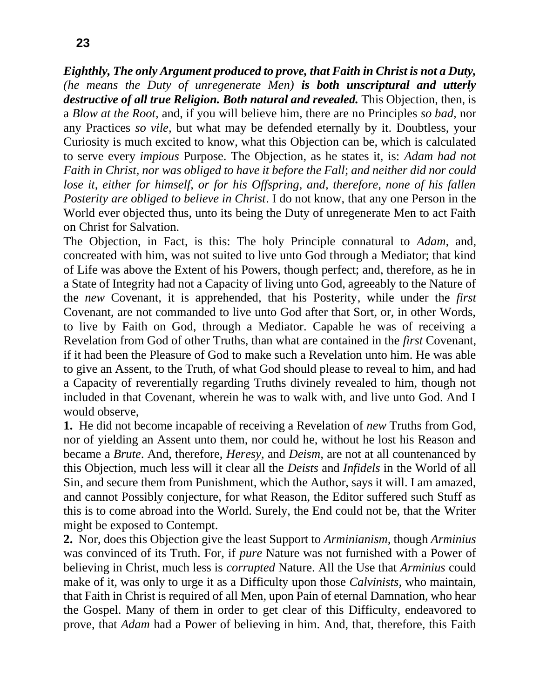*Eighthly, The only Argument produced to prove, that Faith in Christ is not a Duty, (he means the Duty of unregenerate Men) is both unscriptural and utterly*  destructive of all true Religion. Both natural and revealed. This Objection, then, is a *Blow at the Root,* and, if you will believe him, there are no Principles *so bad,* nor any Practices *so vile,* but what may be defended eternally by it. Doubtless, your Curiosity is much excited to know, what this Objection can be, which is calculated to serve every *impious* Purpose. The Objection, as he states it, is: *Adam had not Faith in Christ, nor was obliged to have it before the Fall*; *and neither did nor could lose it, either for himself, or for his Offspring, and, therefore, none of his fallen* 

*Posterity are obliged to believe in Christ*. I do not know, that any one Person in the World ever objected thus, unto its being the Duty of unregenerate Men to act Faith on Christ for Salvation.

The Objection, in Fact, is this: The holy Principle connatural to *Adam,* and, concreated with him, was not suited to live unto God through a Mediator; that kind of Life was above the Extent of his Powers, though perfect; and, therefore, as he in a State of Integrity had not a Capacity of living unto God, agreeably to the Nature of the *new* Covenant, it is apprehended, that his Posterity, while under the *first* Covenant, are not commanded to live unto God after that Sort, or, in other Words, to live by Faith on God, through a Mediator. Capable he was of receiving a Revelation from God of other Truths, than what are contained in the *first* Covenant, if it had been the Pleasure of God to make such a Revelation unto him. He was able to give an Assent, to the Truth, of what God should please to reveal to him, and had a Capacity of reverentially regarding Truths divinely revealed to him, though not included in that Covenant, wherein he was to walk with, and live unto God. And I would observe,

**1.** He did not become incapable of receiving a Revelation of *new* Truths from God, nor of yielding an Assent unto them, nor could he, without he lost his Reason and became a *Brute*. And, therefore, *Heresy,* and *Deism,* are not at all countenanced by this Objection, much less will it clear all the *Deists* and *Infidels* in the World of all Sin, and secure them from Punishment, which the Author, says it will. I am amazed, and cannot Possibly conjecture, for what Reason, the Editor suffered such Stuff as this is to come abroad into the World. Surely, the End could not be, that the Writer might be exposed to Contempt.

**2.** Nor, does this Objection give the least Support to *Arminianism,* though *Arminius*  was convinced of its Truth. For, if *pure* Nature was not furnished with a Power of believing in Christ, much less is *corrupted* Nature. All the Use that *Arminius* could make of it, was only to urge it as a Difficulty upon those *Calvinists,* who maintain, that Faith in Christ is required of all Men, upon Pain of eternal Damnation, who hear the Gospel. Many of them in order to get clear of this Difficulty, endeavored to prove, that *Adam* had a Power of believing in him. And, that, therefore, this Faith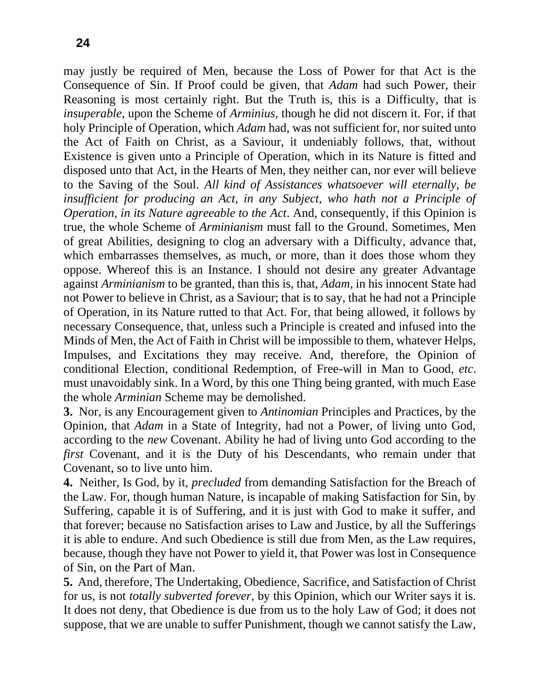may justly be required of Men, because the Loss of Power for that Act is the Consequence of Sin. If Proof could be given, that *Adam* had such Power, their Reasoning is most certainly right. But the Truth is, this is a Difficulty, that is *insuperable,* upon the Scheme of *Arminius,* though he did not discern it. For, if that holy Principle of Operation, which *Adam* had, was not sufficient for, nor suited unto the Act of Faith on Christ, as a Saviour, it undeniably follows, that, without Existence is given unto a Principle of Operation, which in its Nature is fitted and disposed unto that Act, in the Hearts of Men, they neither can, nor ever will believe to the Saving of the Soul. *All kind of Assistances whatsoever will eternally, be insufficient for producing an Act, in any Subject, who hath not a Principle of Operation, in its Nature agreeable to the Act*. And, consequently, if this Opinion is true, the whole Scheme of *Arminianism* must fall to the Ground. Sometimes, Men of great Abilities, designing to clog an adversary with a Difficulty, advance that, which embarrasses themselves, as much, or more, than it does those whom they oppose. Whereof this is an Instance. I should not desire any greater Advantage against *Arminianism* to be granted, than this is, that, *Adam,* in his innocent State had not Power to believe in Christ, as a Saviour; that is to say, that he had not a Principle of Operation, in its Nature rutted to that Act. For, that being allowed, it follows by necessary Consequence, that, unless such a Principle is created and infused into the Minds of Men, the Act of Faith in Christ will be impossible to them, whatever Helps, Impulses, and Excitations they may receive. And, therefore, the Opinion of conditional Election, conditional Redemption, of Free-will in Man to Good, *etc*. must unavoidably sink. In a Word, by this one Thing being granted, with much Ease the whole *Arminian* Scheme may be demolished.

**3.** Nor, is any Encouragement given to *Antinomian* Principles and Practices, by the Opinion, that *Adam* in a State of Integrity, had not a Power, of living unto God, according to the *new* Covenant. Ability he had of living unto God according to the *first* Covenant, and it is the Duty of his Descendants, who remain under that Covenant, so to live unto him.

**4.** Neither, Is God, by it, *precluded* from demanding Satisfaction for the Breach of the Law. For, though human Nature, is incapable of making Satisfaction for Sin, by Suffering, capable it is of Suffering, and it is just with God to make it suffer, and that forever; because no Satisfaction arises to Law and Justice, by all the Sufferings it is able to endure. And such Obedience is still due from Men, as the Law requires, because, though they have not Power to yield it, that Power was lost in Consequence of Sin, on the Part of Man.

**5.** And, therefore, The Undertaking, Obedience, Sacrifice, and Satisfaction of Christ for us, is not *totally subverted forever,* by this Opinion, which our Writer says it is. It does not deny, that Obedience is due from us to the holy Law of God; it does not suppose, that we are unable to suffer Punishment, though we cannot satisfy the Law,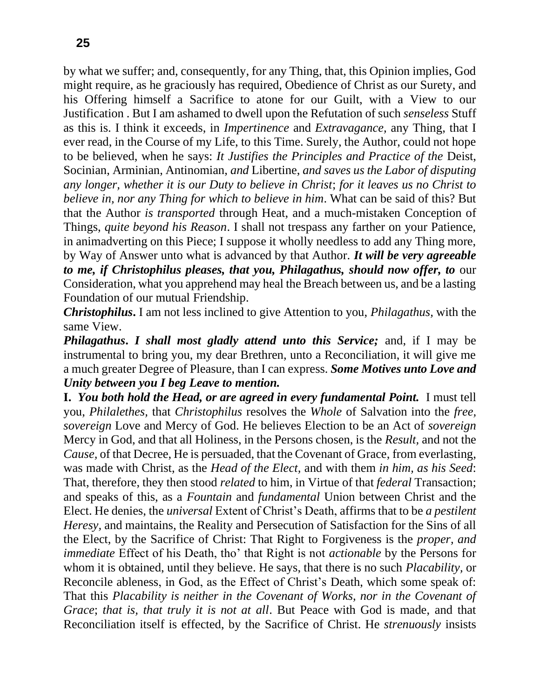by what we suffer; and, consequently, for any Thing, that, this Opinion implies, God might require, as he graciously has required, Obedience of Christ as our Surety, and his Offering himself a Sacrifice to atone for our Guilt, with a View to our Justification . But I am ashamed to dwell upon the Refutation of such *senseless* Stuff as this is. I think it exceeds, in *Impertinence* and *Extravagance,* any Thing, that I ever read, in the Course of my Life, to this Time. Surely, the Author, could not hope to be believed, when he says: *It Justifies the Principles and Practice of the* Deist, Socinian, Arminian, Antinomian, *and* Libertine, *and saves us the Labor of disputing any longer, whether it is our Duty to believe in Christ*; *for it leaves us no Christ to believe in, nor any Thing for which to believe in him*. What can be said of this? But that the Author *is transported* through Heat, and a much-mistaken Conception of Things, *quite beyond his Reason*. I shall not trespass any farther on your Patience, in animadverting on this Piece; I suppose it wholly needless to add any Thing more, by Way of Answer unto what is advanced by that Author. *It will be very agreeable to me, if Christophilus pleases, that you, Philagathus, should now offer, to* our Consideration, what you apprehend may heal the Breach between us, and be a lasting Foundation of our mutual Friendship.

*Christophilus***.** I am not less inclined to give Attention to you, *Philagathus,* with the same View.

*Philagathus***.** *I shall most gladly attend unto this Service;* and, if I may be instrumental to bring you, my dear Brethren, unto a Reconciliation, it will give me a much greater Degree of Pleasure, than I can express. *Some Motives unto Love and Unity between you I beg Leave to mention.*

**I.** *You both hold the Head, or are agreed in every fundamental Point.* I must tell you, *Philalethes,* that *Christophilus* resolves the *Whole* of Salvation into the *free, sovereign* Love and Mercy of God. He believes Election to be an Act of *sovereign*  Mercy in God, and that all Holiness, in the Persons chosen, is the *Result,* and not the *Cause,* of that Decree, He is persuaded, that the Covenant of Grace, from everlasting, was made with Christ, as the *Head of the Elect,* and with them *in him, as his Seed*: That, therefore, they then stood *related* to him, in Virtue of that *federal* Transaction; and speaks of this, as a *Fountain* and *fundamental* Union between Christ and the Elect. He denies, the *universal* Extent of Christ's Death, affirms that to be *a pestilent Heresy,* and maintains, the Reality and Persecution of Satisfaction for the Sins of all the Elect, by the Sacrifice of Christ: That Right to Forgiveness is the *proper, and immediate* Effect of his Death, tho' that Right is not *actionable* by the Persons for whom it is obtained, until they believe. He says, that there is no such *Placability,* or Reconcile ableness, in God, as the Effect of Christ's Death, which some speak of: That this *Placability is neither in the Covenant of Works, nor in the Covenant of Grace*; *that is, that truly it is not at all*. But Peace with God is made, and that Reconciliation itself is effected, by the Sacrifice of Christ. He *strenuously* insists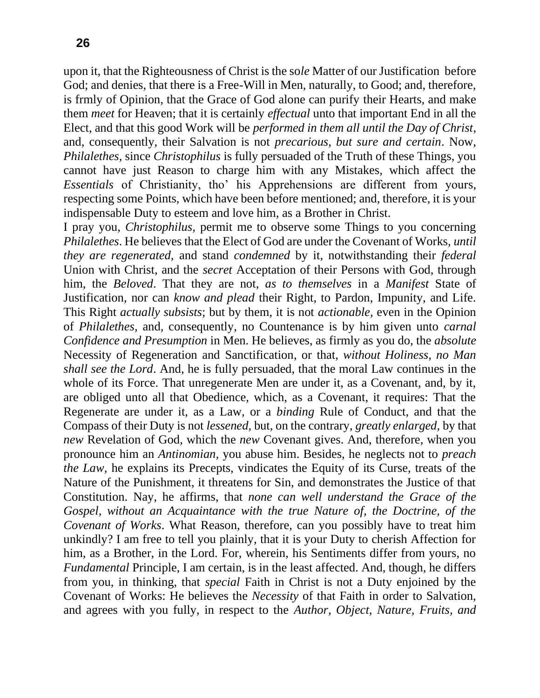upon it, that the Righteousness of Christ is the so*le* Matter of our Justification before God; and denies, that there is a Free-Will in Men, naturally, to Good; and, therefore, is frmly of Opinion, that the Grace of God alone can purify their Hearts, and make them *meet* for Heaven; that it is certainly *effectual* unto that important End in all the Elect, and that this good Work will be *performed in them all until the Day of Christ*, and, consequently, their Salvation is not *precarious, but sure and certain*. Now, *Philalethes,* since *Christophilus* is fully persuaded of the Truth of these Things, you cannot have just Reason to charge him with any Mistakes, which affect the *Essentials* of Christianity, tho' his Apprehensions are different from yours, respecting some Points, which have been before mentioned; and, therefore, it is your indispensable Duty to esteem and love him, as a Brother in Christ.

I pray you, *Christophilus,* permit me to observe some Things to you concerning *Philalethes*. He believes that the Elect of God are under the Covenant of Works, *until they are regenerated,* and stand *condemned* by it, notwithstanding their *federal*  Union with Christ, and the *secret* Acceptation of their Persons with God, through him, the *Beloved*. That they are not, *as to themselves* in a *Manifest* State of Justification, nor can *know and plead* their Right, to Pardon, Impunity, and Life. This Right *actually subsists*; but by them, it is not *actionable,* even in the Opinion of *Philalethes,* and, consequently, no Countenance is by him given unto *carnal Confidence and Presumption* in Men. He believes, as firmly as you do, the *absolute*  Necessity of Regeneration and Sanctification, or that, *without Holiness, no Man shall see the Lord*. And, he is fully persuaded, that the moral Law continues in the whole of its Force. That unregenerate Men are under it, as a Covenant, and, by it, are obliged unto all that Obedience, which, as a Covenant, it requires: That the Regenerate are under it, as a Law, or a *binding* Rule of Conduct, and that the Compass of their Duty is not *lessened,* but, on the contrary, *greatly enlarged,* by that *new* Revelation of God, which the *new* Covenant gives. And, therefore, when you pronounce him an *Antinomian,* you abuse him. Besides, he neglects not to *preach the Law,* he explains its Precepts, vindicates the Equity of its Curse, treats of the Nature of the Punishment, it threatens for Sin, and demonstrates the Justice of that Constitution. Nay, he affirms, that *none can well understand the Grace of the Gospel, without an Acquaintance with the true Nature of, the Doctrine, of the Covenant of Works*. What Reason, therefore, can you possibly have to treat him unkindly? I am free to tell you plainly, that it is your Duty to cherish Affection for him, as a Brother, in the Lord. For, wherein, his Sentiments differ from yours, no *Fundamental* Principle, I am certain, is in the least affected. And, though, he differs from you, in thinking, that *special* Faith in Christ is not a Duty enjoined by the Covenant of Works: He believes the *Necessity* of that Faith in order to Salvation, and agrees with you fully, in respect to the *Author, Object, Nature, Fruits, and*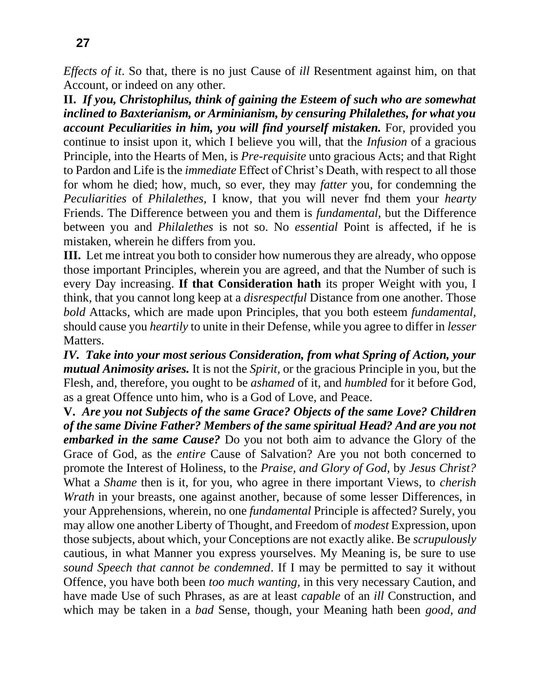*Effects of it*. So that, there is no just Cause of *ill* Resentment against him, on that Account, or indeed on any other.

**II.** *If you, Christophilus, think of gaining the Esteem of such who are somewhat inclined to Baxterianism, or Arminianism, by censuring Philalethes, for what you account Peculiarities in him, you will find yourself mistaken.* For, provided you continue to insist upon it, which I believe you will, that the *Infusion* of a gracious Principle, into the Hearts of Men, is *Pre-requisite* unto gracious Acts; and that Right to Pardon and Life is the *immediate* Effect of Christ's Death, with respect to all those for whom he died; how, much, so ever, they may *fatter* you, for condemning the *Peculiarities* of *Philalethes,* I know, that you will never fnd them your *hearty*  Friends. The Difference between you and them is *fundamental,* but the Difference between you and *Philalethes* is not so. No *essential* Point is affected, if he is mistaken, wherein he differs from you.

**III.** Let me intreat you both to consider how numerous they are already, who oppose those important Principles, wherein you are agreed, and that the Number of such is every Day increasing. **If that Consideration hath** its proper Weight with you, I think, that you cannot long keep at a *disrespectful* Distance from one another. Those *bold* Attacks, which are made upon Principles, that you both esteem *fundamental,*  should cause you *heartily* to unite in their Defense, while you agree to differ in *lesser*  Matters.

*IV. Take into your most serious Consideration, from what Spring of Action, your mutual Animosity arises.* It is not the *Spirit,* or the gracious Principle in you, but the Flesh, and, therefore, you ought to be *ashamed* of it, and *humbled* for it before God, as a great Offence unto him, who is a God of Love, and Peace.

**V.** *Are you not Subjects of the same Grace? Objects of the same Love? Children of the same Divine Father? Members of the same spiritual Head? And are you not embarked in the same Cause?* Do you not both aim to advance the Glory of the Grace of God, as the *entire* Cause of Salvation? Are you not both concerned to promote the Interest of Holiness, to the *Praise, and Glory of God,* by *Jesus Christ?*  What a *Shame* then is it, for you, who agree in there important Views, to *cherish Wrath* in your breasts, one against another, because of some lesser Differences, in your Apprehensions, wherein, no one *fundamental* Principle is affected? Surely, you may allow one another Liberty of Thought, and Freedom of *modest* Expression, upon those subjects, about which, your Conceptions are not exactly alike. Be *scrupulously*  cautious, in what Manner you express yourselves. My Meaning is, be sure to use *sound Speech that cannot be condemned*. If I may be permitted to say it without Offence, you have both been *too much wanting,* in this very necessary Caution, and have made Use of such Phrases, as are at least *capable* of an *ill* Construction, and which may be taken in a *bad* Sense, though, your Meaning hath been *good, and*